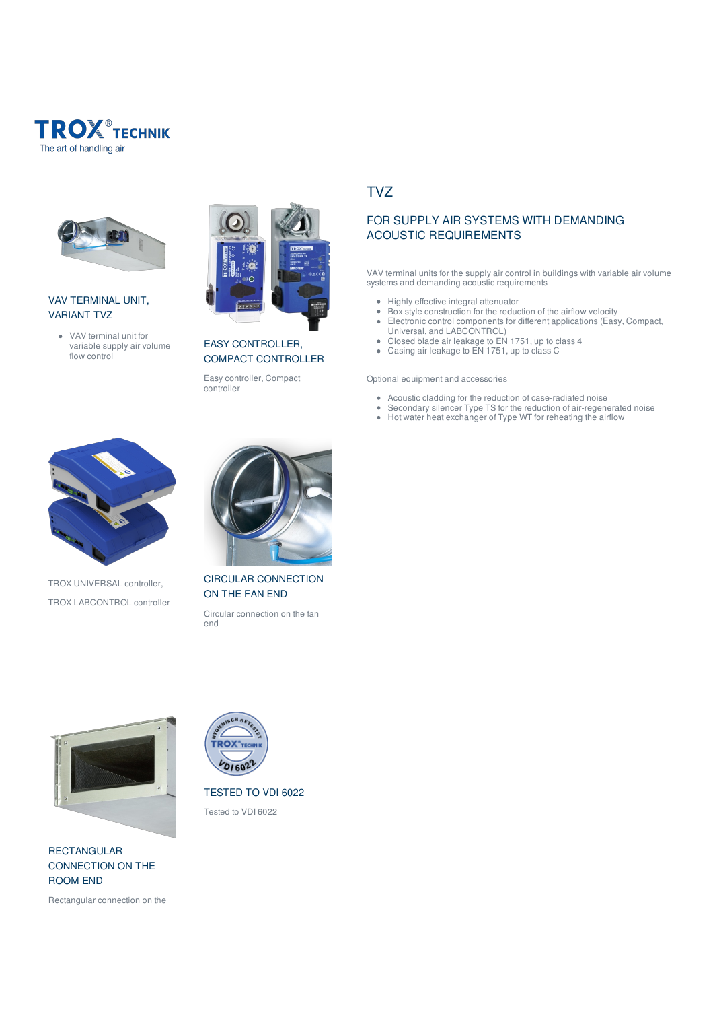



## VAV TERMINAL UNIT, VARIANT TVZ

VAV terminal unit for variable supply air volume flow control



EASY CONTROLLER, COMPACT CONTROLLER

Easy controller, Compact controller

# TVZ

## FOR SUPPLY AIR SYSTEMS WITH DEMANDING ACOUSTIC REQUIREMENTS

VAV terminal units for the supply air control in buildings with variable air volume systems and demanding acoustic requirements

- Highly effective integral attenuator
- Box style construction for the reduction of the airflow velocity
- Electronic control components for different applications (Easy, Compact, Universal, and LABCONTROL)
- Closed blade air leakage to EN 1751, up to class 4
- Casing air leakage to EN 1751, up to class C

#### Optional equipment and accessories

- Acoustic cladding for the reduction of case-radiated noise
- Secondary silencer Type TS for the reduction of air-regenerated noise
- Hot water heat exchanger of Type WT for reheating the airflow



TROX UNIVERSAL controller, TROX LABCONTROL controller



CIRCULAR CONNECTION ON THE FAN END

Circular connection on the fan end

TESTED TO VDI 6022 Tested to VDI 6022

**ROX**  $201602$ 



RECTANGULAR CONNECTION ON THE ROOM END

Rectangular connection on the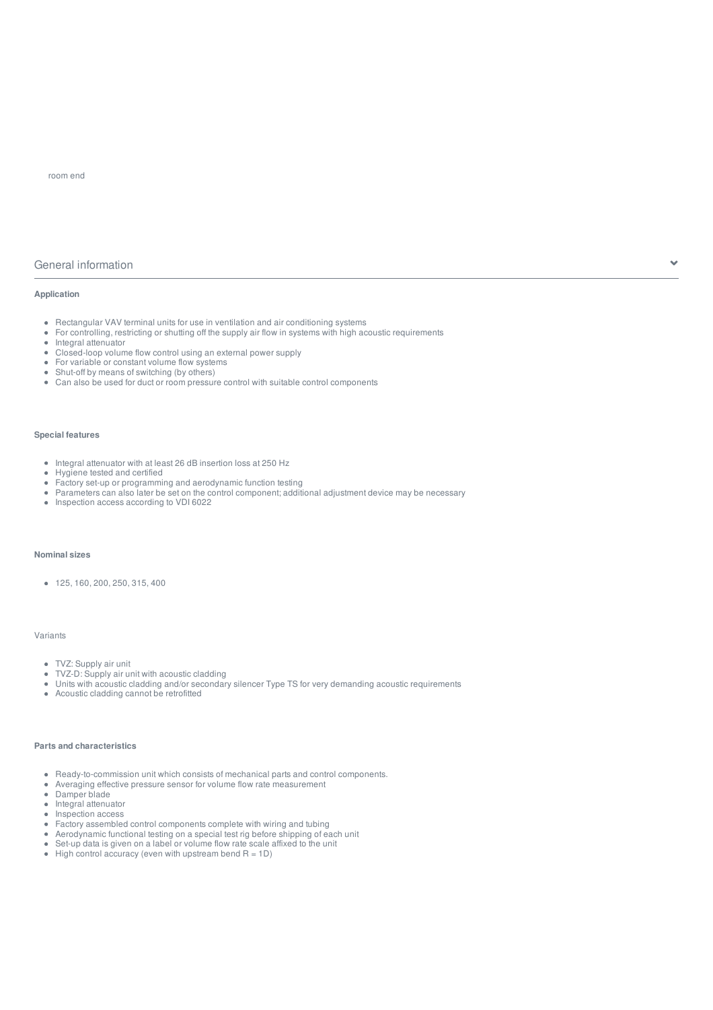## General information

#### **Application**

- Rectangular VAV terminal units for use in ventilation and air conditioning systems
- $\bullet$ For controlling, restricting or shutting off the supply air flow in systems with high acoustic requirements
- Integral attenuator
- Closed-loop volume flow control using an external power supply  $\bullet$
- For variable or constant volume flow systems
- Shut-off by means of switching (by others)  $\bullet$
- Can also be used for duct or room pressure control with suitable control components

#### **Special features**

- Integral attenuator with at least 26 dB insertion loss at 250 Hz
- Hygiene tested and certified
- Factory set-up or programming and aerodynamic function testing
- Parameters can also later be set on the control component; additional adjustment device may be necessary
- Inspection access according to VDI 6022

## **Nominal sizes**

 $\bullet$  125, 160, 200, 250, 315, 400

#### Variants

- TVZ: Supply air unit
- $\bullet$ TVZ-D: Supply air unit with acoustic cladding
- $\bullet$ Units with acoustic cladding and/or secondary silencer Type TS for very demanding acoustic requirements
- Acoustic cladding cannot be retrofitted

#### **Parts and characteristics**

- Ready-to-commission unit which consists of mechanical parts and control components.
- $\ddot{\phantom{a}}$ Averaging effective pressure sensor for volume flow rate measurement
- $\ddot{\phantom{1}}$ Damper blade
- $\bullet$ Integral attenuator
- Inspection access  $\bullet$
- $\bullet$ Factory assembled control components complete with wiring and tubing
- $\hat{\bullet}$ Aerodynamic functional testing on a special test rig before shipping of each unit
- Set-up data is given on a label or volume flow rate scale affixed to the unit  $\bullet$
- $\bullet$  High control accuracy (even with upstream bend R = 1D)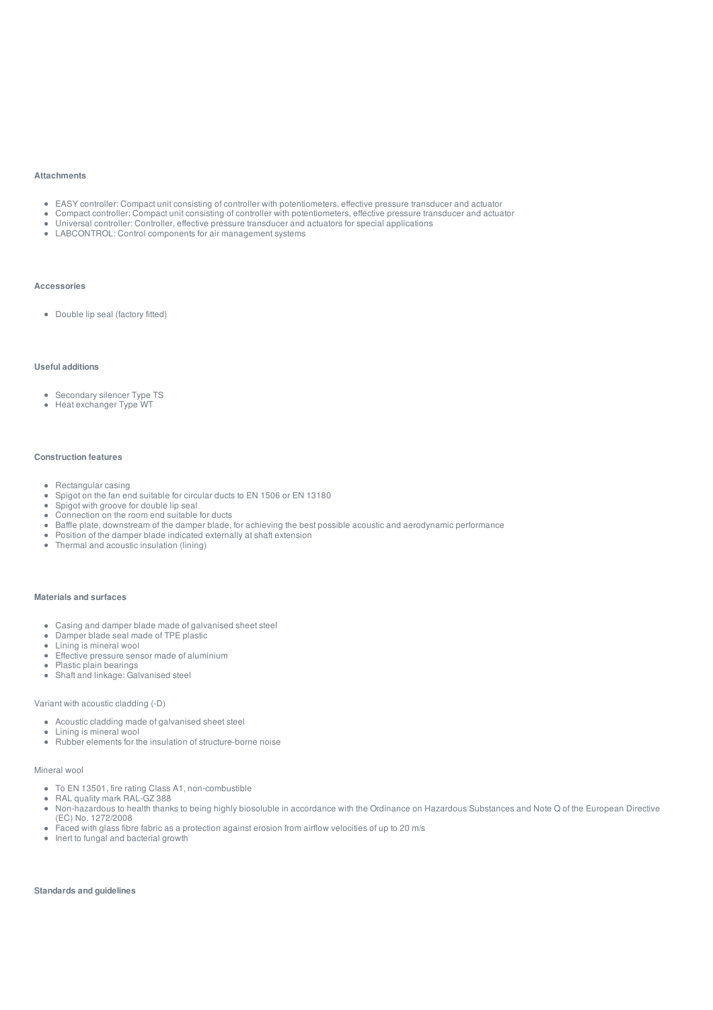#### **Attachments**

- EASY controller: Compact unit consisting of controller with potentiometers, effective pressure transducer and actuator
- Compact controller: Compact unit consisting of controller with potentiometers, effective pressure transducer and actuator
- Universal controller: Controller, effective pressure transducer and actuators for special applications
- LABCONTROL: Control components for air management systems

#### **Accessories**

Double lip seal (factory fitted)

#### **Useful additions**

- Secondary silencer Type TS
- Heat exchanger Type WT

#### **Construction features**

- Rectangular casing
- Spigot on the fan end suitable for circular ducts to EN 1506 or EN 13180  $\bullet$
- Spigot with groove for double lip seal  $\bullet$
- Connection on the room end suitable for ducts
- Baffle plate, downstream of the damper blade, for achieving the best possible acoustic and aerodynamic performance
- Position of the damper blade indicated externally at shaft extension
- Thermal and acoustic insulation (lining)

#### **Materials and surfaces**

- Casing and damper blade made of galvanised sheet steel
- $\ddot{\phantom{a}}$ Damper blade seal made of TPE plastic
- Lining is mineral wool
- $\sim$ Effective pressure sensor made of aluminium
- Plastic plain bearings
- Shaft and linkage: Galvanised steel

#### Variant with acoustic cladding (-D)

- Acoustic cladding made of galvanised sheet steel
- $\bullet$  Lining is mineral wool
- Rubber elements for the insulation of structure-borne noise

#### Mineral wool

- To EN 13501, fire rating Class A1, non-combustible
- RAL quality mark RAL-GZ 388
- Non-hazardous to health thanks to being highly biosoluble in accordance with the Ordinance on Hazardous Substances and Note Q of the European Directive (EC) No. 1272/2008
- Faced with glass fibre fabric as a protection against erosion from airflow velocities of up to 20 m/s
- Inert to fungal and bacterial growth

**Standards and guidelines**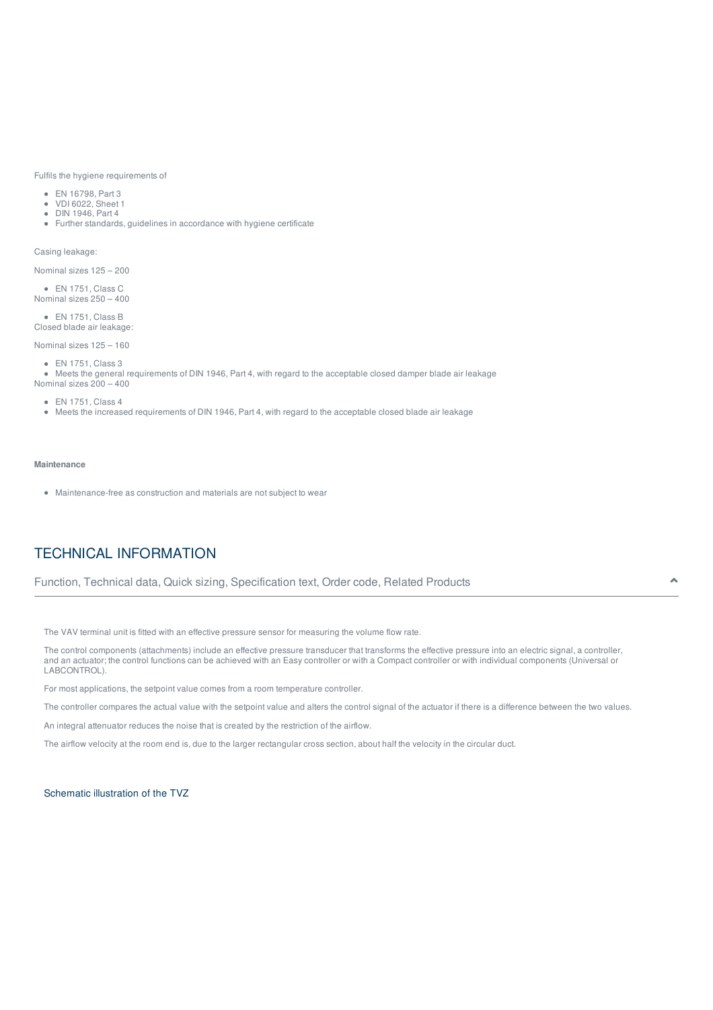Fulfils the hygiene requirements of

- EN 16798, Part 3
- VDI 6022, Sheet 1
- DIN 1946, Part 4
- Further standards, guidelines in accordance with hygiene certificate

Casing leakage:

Nominal sizes 125 – 200

EN 1751, Class C Nominal sizes 250 – 400

EN 1751, Class B Closed blade air leakage:

Nominal sizes 125 – 160

EN 1751, Class 3

Meets the general requirements of DIN 1946, Part 4, with regard to the acceptable closed damper blade air leakage Nominal sizes 200 – 400

EN 1751, Class 4

Meets the increased requirements of DIN 1946, Part 4, with regard to the acceptable closed blade air leakage

#### **Maintenance**

Maintenance-free as construction and materials are not subject to wear

# TECHNICAL INFORMATION

Function, Technical data, Quick sizing, Specification text, Order code, Related Products

The VAV terminal unit is fitted with an effective pressure sensor for measuring the volume flow rate.

The control components (attachments) include an effective pressure transducer that transforms the effective pressure into an electric signal, a controller, and an actuator; the control functions can be achieved with an Easy controller or with a Compact controller or with individual components (Universal or LABCONTROL).

For most applications, the setpoint value comes from a room temperature controller.

The controller compares the actual value with the setpoint value and alters the control signal of the actuator if there is a difference between the two values.

An integral attenuator reduces the noise that is created by the restriction of the airflow.

The airflow velocity at the room end is, due to the larger rectangular cross section, about half the velocity in the circular duct.

Schematic illustration of the TVZ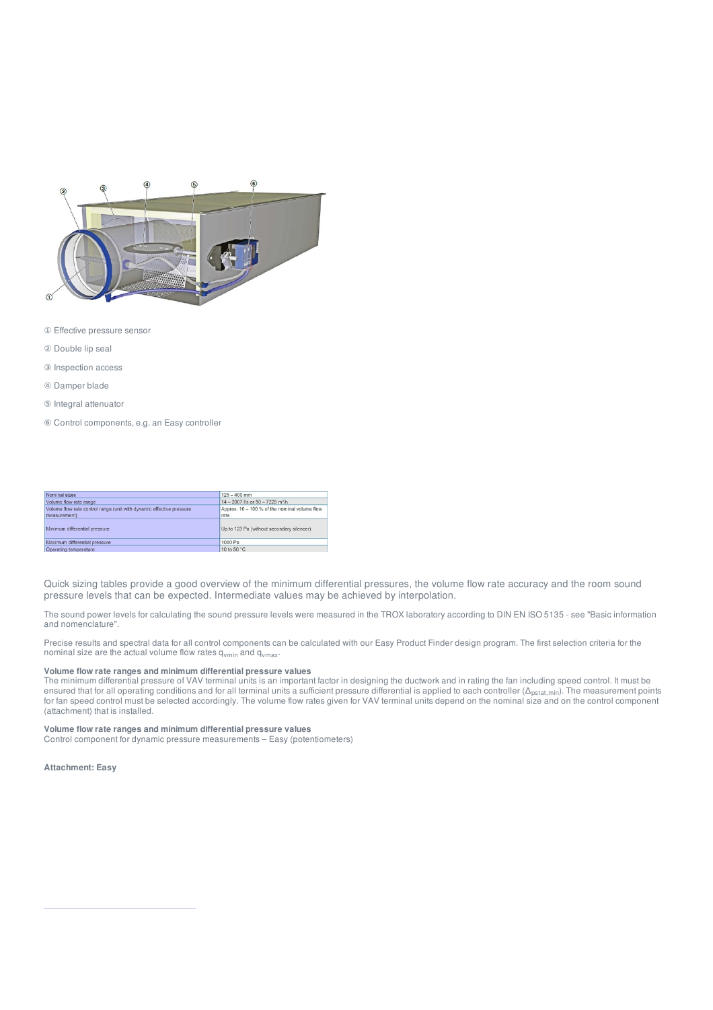

- ① Effective pressure sensor
- ② Double lip seal
- ③ Inspection access
- ④ Damper blade
- ⑤ Integral attenuator
- ⑥ Control components, e.g. an Easy controller

| Nominal sizes                                                         | $125 - 400$ mm                                         |
|-----------------------------------------------------------------------|--------------------------------------------------------|
| Volume flow rate range                                                | $14 - 2007$ <i>Vs or</i> $50 - 7228$ m <sup>3</sup> /h |
| Volume flow rate control range (unit with dynamic effective pressure) | Approx. 10 - 100 % of the nominal volume flow          |
| measurement)                                                          | rate                                                   |
| Minimum differential pressure                                         | Up to 123 Pa (without secondary silencer)              |
| Maximum differential pressure                                         | 1000 Pa                                                |
| Operating temperature                                                 | 10 to 50 °C                                            |

Quick sizing tables provide a good overview of the minimum differential pressures, the volume flow rate accuracy and the room sound pressure levels that can be expected. Intermediate values may be achieved by interpolation.

The sound power levels for calculating the sound pressure levels were measured in the TROX laboratory according to DIN EN ISO 5135 - see "Basic information and nomenclature".

Precise results and spectral data for all control components can be calculated with our Easy Product Finder design program. The first selection criteria for the nominal size are the actual volume flow rates q<sub>vmin</sub> and q<sub>vmax</sub>.

#### **Volume flow rate ranges and minimum differential pressure values**

The minimum differential pressure of VAV terminal units is an important factor in designing the ductwork and in rating the fan including speed control. It must be ensured that for all operating conditions and for all terminal units a sufficient pressure differential is applied to each controller (Δ<sub>pstat,min</sub>). The measurement points for fan speed control must be selected accordingly. The volume flow rates given for VAV terminal units depend on the nominal size and on the control component (attachment) that is installed.

#### **Volume flow rate ranges and minimum differential pressure values**

Control component for dynamic pressure measurements – Easy (potentiometers)

**Attachment: Easy**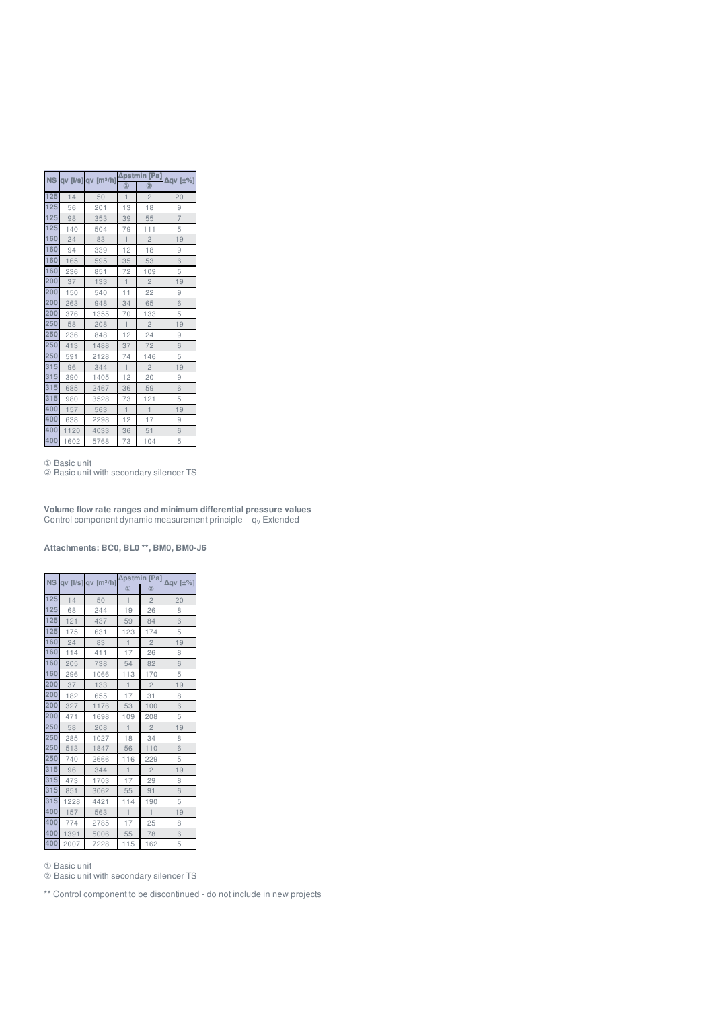|     |      | NS qv [l/s] qv [m3/h] |              | Δpstmin [Pa]            | $\Delta qV$ [ $\pm\%$ ] |  |  |
|-----|------|-----------------------|--------------|-------------------------|-------------------------|--|--|
|     |      |                       | (1)          | 0                       |                         |  |  |
| 125 | 14   | 50                    | $\mathbf{1}$ | $\overline{c}$          | 20                      |  |  |
| 125 | 56   | 201                   | 13           | 18                      | 9                       |  |  |
| 125 | 98   | 353                   | 39           | 55                      | $\overline{7}$          |  |  |
| 125 | 140  | 504                   | 79           | 111                     | 5                       |  |  |
| 160 | 24   | 83                    | $\mathbf{1}$ | $\overline{\mathbf{c}}$ | 19                      |  |  |
| 160 | 94   | 339                   | 12           | 18                      | 9                       |  |  |
| 160 | 165  | 595                   | 35           | 53                      | 6                       |  |  |
| 160 | 236  | 851                   | 72           | 109                     | 5                       |  |  |
| 200 | 37   | 133                   | $\mathbf{1}$ | $\overline{c}$          | 19                      |  |  |
| 200 | 150  | 540                   | 11           | 22                      | 9                       |  |  |
| 200 | 263  | 948                   | 34           | 65                      | 6                       |  |  |
| 200 | 376  | 1355                  | 70           | 133                     | 5                       |  |  |
| 250 | 58   | 208                   | $\mathbf{1}$ | $\overline{c}$          | 19                      |  |  |
| 250 | 236  | 848                   | 12           | 24                      | 9                       |  |  |
| 250 | 413  | 1488                  | 37           | 72                      | 6                       |  |  |
| 250 | 591  | 2128                  | 74           | 146                     | 5                       |  |  |
| 315 | 96   | 344                   | $\uparrow$   | $\overline{c}$          | 19                      |  |  |
| 315 | 390  | 1405                  | 12           | 20                      | 9                       |  |  |
| 315 | 685  | 2467                  | 36           | 59                      | 6                       |  |  |
| 315 | 980  | 3528                  | 73           | 121                     | 5                       |  |  |
| 400 | 157  | 563                   | $\mathbf{1}$ | $\mathbf{1}$            | 19                      |  |  |
| 400 | 638  | 2298                  | 12           | 17                      | 9                       |  |  |
| 400 | 1120 | 4033                  | 36           | 51                      | 6                       |  |  |
| 400 | 1602 | 5768                  | 73           | 104                     | 5                       |  |  |

Basic unit

Basic unit with secondary silencer TS

**Volume flow rate ranges and minimum differential pressure values** Control component dynamic measurement principle –  $\mathsf{q}_\mathsf{v}$  Extended

**Attachments: BC0, BL0 \*\*, BM0, BM0-J6**

|           |      |                         | Δpstmin        | [Pa]           |                          |
|-----------|------|-------------------------|----------------|----------------|--------------------------|
| <b>NS</b> |      | qv $[1/s]$ qv $[m^3/h]$ | $^{\circledR}$ | $^{\circledR}$ | $\Delta q$ v [ $\pm\%$ ] |
| 125       | 14   | 50                      | $\overline{1}$ | $\overline{2}$ | 20                       |
| 125       | 68   | 244                     | 19             | 26             | 8                        |
| 125       | 121  | 437                     | 59             | 84             | 6                        |
| 125       | 175  | 631                     | 123            | 174            | 5                        |
| 160       | 24   | 83                      | $\mathbf{1}$   | $\overline{c}$ | 19                       |
| 160       | 114  | 411                     | 17             | 26             | 8                        |
| 160       | 205  | 738                     | 54             | 82             | 6                        |
| 160       | 296  | 1066                    | 113            | 170            | 5                        |
| 200       | 37   | 133                     | $\mathbf{1}$   | $\sqrt{2}$     | 19                       |
| 200       | 182  | 655                     | 17             | 31             | 8                        |
| 200       | 327  | 1176                    | 53             | 100            | 6                        |
| 200       | 471  | 1698                    | 109            | 208            | 5                        |
| 250       | 58   | 208                     | $\blacksquare$ | $\overline{2}$ | 19                       |
| 250       | 285  | 1027                    | 18             | 34             | 8                        |
| 250       | 513  | 1847                    | 56             | 110            | 6                        |
| 250       | 740  | 2666                    | 116            | 229            | 5                        |
| 315       | 96   | 344                     | $\mathbf{1}$   | $\overline{c}$ | 19                       |
| 315       | 473  | 1703                    | 17             | 29             | 8                        |
| 315       | 851  | 3062                    | 55             | 91             | 6                        |
| 315       | 1228 | 4421                    | 114            | 190            | 5                        |
| 400       | 157  | 563                     | $\mathbf{1}$   | $\mathbf{1}$   | 19                       |
| 400       | 774  | 2785                    | 17             | 25             | 8                        |
| 400       | 1391 | 5006                    | 55             | 78             | 6                        |
| 400       | 2007 | 7228                    | 115            | 162            | 5                        |

Basic unit

Basic unit with secondary silencer TS

\*\* Control component to be discontinued - do not include in new projects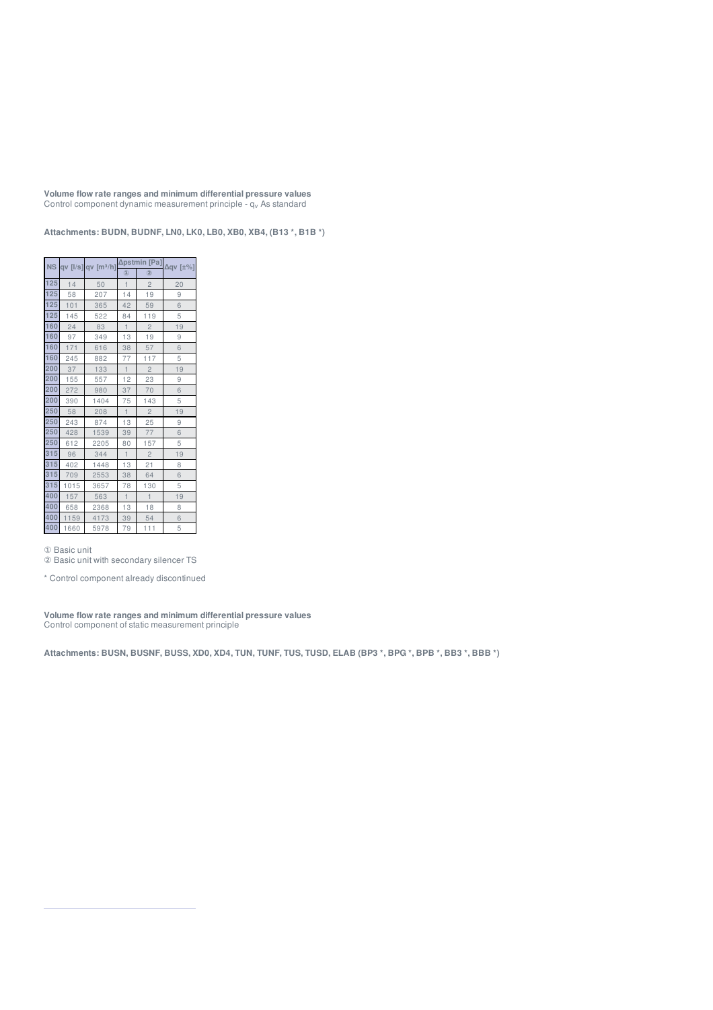**Volume flow rate ranges and minimum differential pressure values** Control component dynamic measurement principle - q<sub>v</sub> As standard

**Attachments: BUDN, BUDNF, LN0, LK0, LB0, XB0, XB4, (B13 \*, B1B \*)**

|     |      |      |                |                | NS qv [l/s] qv [m <sup>3</sup> /h] $\frac{\Delta \text{pstmin}$ [Pa] $\Delta \text{qv}$ [±%] |
|-----|------|------|----------------|----------------|----------------------------------------------------------------------------------------------|
|     |      |      | $^{\circledR}$ | $^{\circledR}$ |                                                                                              |
| 125 | 14   | 50   | $\overline{1}$ | $\mathbf{2}$   | 20                                                                                           |
| 125 | 58   | 207  | 14             | 19             | 9                                                                                            |
| 125 | 101  | 365  | 42             | 59             | 6                                                                                            |
| 125 | 145  | 522  | 84             | 119            | 5                                                                                            |
| 160 | 24   | 83   | $\mathbf{1}$   | $\overline{c}$ | 19                                                                                           |
| 160 | 97   | 349  | 13             | 19             | 9                                                                                            |
| 160 | 171  | 616  | 38             | 57             | 6                                                                                            |
| 160 | 245  | 882  | 77             | 117            | 5                                                                                            |
| 200 | 37   | 133  | $\mathbf{1}$   | $\overline{c}$ | 19                                                                                           |
| 200 | 155  | 557  | 12             | 23             | 9                                                                                            |
| 200 | 272  | 980  | 37             | 70             | 6                                                                                            |
| 200 | 390  | 1404 | 75             | 143            | 5                                                                                            |
| 250 | 58   | 208  | $\mathbf{1}$   | $\overline{c}$ | 19                                                                                           |
| 250 | 243  | 874  | 13             | 25             | 9                                                                                            |
| 250 | 428  | 1539 | 39             | 77             | 6                                                                                            |
| 250 | 612  | 2205 | 80             | 157            | 5                                                                                            |
| 315 | 96   | 344  | $\mathbf{1}$   | $\overline{c}$ | 19                                                                                           |
| 315 | 402  | 1448 | 13             | 21             | 8                                                                                            |
| 315 | 709  | 2553 | 38             | 64             | 6                                                                                            |
| 315 | 1015 | 3657 | 78             | 130            | 5                                                                                            |
| 400 | 157  | 563  | $\mathbf{1}$   | $\overline{1}$ | 19                                                                                           |
| 400 | 658  | 2368 | 13             | 18             | 8                                                                                            |
| 400 | 1159 | 4173 | 39             | 54             | 6                                                                                            |
| 400 | 1660 | 5978 | 79             | 111            | 5                                                                                            |

Basic unit

Basic unit with secondary silencer TS

\* Control component already discontinued

**Volume flow rate ranges and minimum differential pressure values** Control component of static measurement principle

Attachments: BUSN, BUSNF, BUSS, XD0, XD4, TUN, TUNF, TUS, TUSD, ELAB (BP3 \*, BPG \*, BPB \*, BB3 \*, BBB \*)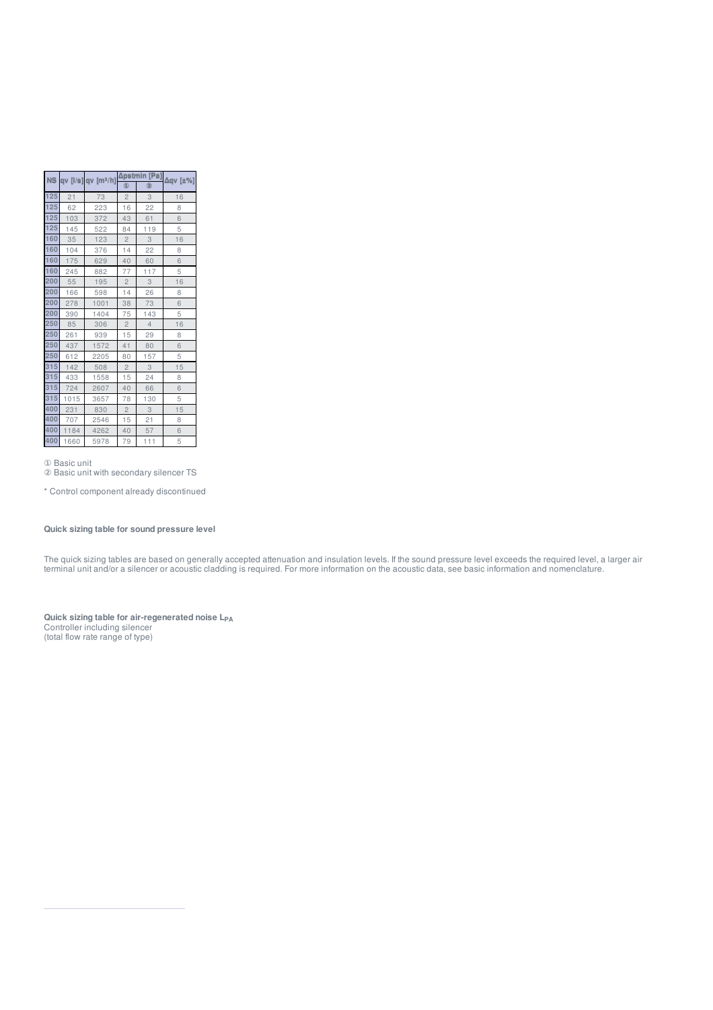|     | NS qv [I/s] qv [m3/h] Apstr |      |                |                | ıin [Pa] <sub>Δqν</sub> [±%] |  |
|-----|-----------------------------|------|----------------|----------------|------------------------------|--|
|     |                             |      | 4              | 0              |                              |  |
| 125 | 21                          | 73   | $\overline{c}$ | 3              | 16                           |  |
| 125 | 62                          | 223  | 16             | 22             | 8                            |  |
| 125 | 103                         | 372  | 43             | 61             | 6                            |  |
| 125 | 145                         | 522  | 84             | 119            | 5                            |  |
| 160 | 35                          | 123  | $\overline{c}$ | 3              | 16                           |  |
| 160 | 104                         | 376  | 14             | 22             | 8                            |  |
| 160 | 175                         | 629  | 40             | 60             | 6                            |  |
| 160 | 245                         | 882  | 77             | 117            | 5                            |  |
| 200 | 55                          | 195  | $\sqrt{2}$     | 3              | 16                           |  |
| 200 | 166                         | 598  | 14             | 26             | 8                            |  |
| 200 | 278                         | 1001 | 38             | 73             | 6                            |  |
| 200 | 390                         | 1404 | 75             | 143            | 5                            |  |
| 250 | 85                          | 306  | $\overline{c}$ | $\overline{4}$ | 16                           |  |
| 250 | 261                         | 939  | 15             | 29             | 8                            |  |
| 250 | 437                         | 1572 | 41             | 80             | 6                            |  |
| 250 | 612                         | 2205 | 80             | 157            | 5                            |  |
| 315 | 142                         | 508  | $\sqrt{2}$     | 3              | 15                           |  |
| 315 | 433                         | 1558 | 15             | 24             | 8                            |  |
| 315 | 724                         | 2607 | 40             | 66             | 6                            |  |
| 315 | 1015                        | 3657 | 78             | 130            | 5                            |  |
| 400 | 231                         | 830  | $\overline{c}$ | 3              | 15                           |  |
| 400 | 707                         | 2546 | 15             | 21             | 8                            |  |
| 400 | 1184                        | 4262 | 40             | 57             | 6                            |  |
| 400 | 1660                        | 5978 | 79             | 111            | 5                            |  |

Basic unit

Basic unit with secondary silencer TS

\* Control component already discontinued

## **Quick sizing table for sound pressure level**

The quick sizing tables are based on generally accepted attenuation and insulation levels. If the sound pressure level exceeds the required level, a larger air terminal unit and/or a silencer or acoustic cladding is required. For more information on the acoustic data, see basic information and nomenclature.

#### **Quick sizing table for air-regenerated noise L** Controller including silencer **PA**

(total flow rate range of type)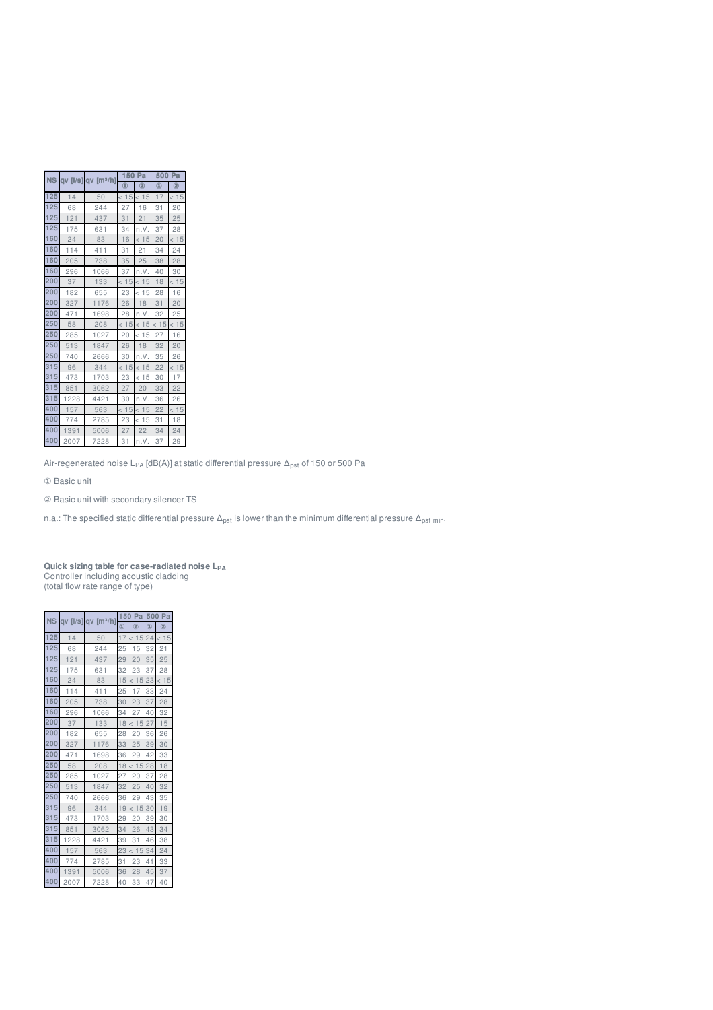| <b>NS</b> |      | av [l/s] av [m <sup>3</sup> /h] |      | 150<br>Pa<br><b>(1)</b><br>0<br>< 15<br>16<br>27<br>31<br>21<br>34<br>n.V.<br>16<br>< 15<br>31<br>21<br>35<br>25<br>37<br>n.V.<br>< 15<br>< 15<br>23<br>18<br>26<br>28<br>n.V.<br>< 15<br>20<br>< 15<br>18<br>26<br>30<br>n.V.<br>< 15<br>< 15<br>23<br>27<br>20<br>30<br>n.V.<br>< 15<br>23<br>< 15<br>27<br>22 |      | 500 Pa |
|-----------|------|---------------------------------|------|------------------------------------------------------------------------------------------------------------------------------------------------------------------------------------------------------------------------------------------------------------------------------------------------------------------|------|--------|
|           |      |                                 |      |                                                                                                                                                                                                                                                                                                                  | ③    | 0      |
| 125       | 14   | 50                              | < 15 |                                                                                                                                                                                                                                                                                                                  | 17   | < 15   |
| 125       | 68   | 244                             |      |                                                                                                                                                                                                                                                                                                                  | 31   | 20     |
| 125       | 121  | 437                             |      |                                                                                                                                                                                                                                                                                                                  | 35   | 25     |
| 125       | 175  | 631                             |      |                                                                                                                                                                                                                                                                                                                  | 37   | 28     |
| 160       | 24   | 83                              |      |                                                                                                                                                                                                                                                                                                                  | 20   | < 15   |
| 160       | 114  | 411                             |      |                                                                                                                                                                                                                                                                                                                  | 34   | 24     |
| 160       | 205  | 738                             |      |                                                                                                                                                                                                                                                                                                                  | 38   | 28     |
| 160       | 296  | 1066                            |      |                                                                                                                                                                                                                                                                                                                  | 40   | 30     |
| 200       | 37   | 133                             | < 15 |                                                                                                                                                                                                                                                                                                                  | 18   | < 15   |
| 200       | 182  | 655                             |      |                                                                                                                                                                                                                                                                                                                  | 28   | 16     |
| 200       | 327  | 1176                            |      |                                                                                                                                                                                                                                                                                                                  | 31   | 20     |
| 200       | 471  | 1698                            |      |                                                                                                                                                                                                                                                                                                                  | 32   | 25     |
| 250       | 58   | 208                             | < 15 |                                                                                                                                                                                                                                                                                                                  | < 15 | < 15   |
| 250       | 285  | 1027                            |      |                                                                                                                                                                                                                                                                                                                  | 27   | 16     |
| 250       | 513  | 1847                            |      |                                                                                                                                                                                                                                                                                                                  | 32   | 20     |
| 250       | 740  | 2666                            |      |                                                                                                                                                                                                                                                                                                                  | 35   | 26     |
| 315       | 96   | 344                             | < 15 |                                                                                                                                                                                                                                                                                                                  | 22   | < 15   |
| 315       | 473  | 1703                            |      |                                                                                                                                                                                                                                                                                                                  | 30   | 17     |
| 315       | 851  | 3062                            |      |                                                                                                                                                                                                                                                                                                                  | 33   | 22     |
| 315       | 1228 | 4421                            |      |                                                                                                                                                                                                                                                                                                                  | 36   | 26     |
| 400       | 157  | 563                             | < 15 |                                                                                                                                                                                                                                                                                                                  | 22   | < 15   |
| 400       | 774  | 2785                            |      |                                                                                                                                                                                                                                                                                                                  | 31   | 18     |
| 400       | 1391 | 5006                            |      |                                                                                                                                                                                                                                                                                                                  | 34   | 24     |
| 400       | 2007 | 7228                            | 31   | n.V.                                                                                                                                                                                                                                                                                                             | 37   | 29     |

Air-regenerated noise L<sub>PA</sub> [dB(A)] at static differential pressure  $\Delta_{\rm pst}$  of 150 or 500 Pa

Basic unit

Basic unit with secondary silencer TS

n.a.: The specified static differential pressure  $\Delta_{\sf pst}$  is lower than the minimum differential pressure  $\Delta_{\sf pst}$  <sub>min</sub>.

#### **Quick sizing table for case-radiated noise L** Controller including acoustic cladding (total flow rate range of type) **PA**

| <b>NS</b> |      | $qv$ [I/s] $qv$ [m $^{3}/h$ ] | 150            | Pa   |               | 500 Pa |
|-----------|------|-------------------------------|----------------|------|---------------|--------|
|           |      |                               | $\circledcirc$ | (2)  | $\circled{1}$ | (2)    |
| 125       | 14   | 50                            | 17             | < 15 | 24            | < 15   |
| 125       | 68   | 244                           | 25             | 15   | 32            | 21     |
| 125       | 121  | 437                           | 29             | 20   | 35            | 25     |
| 125       | 175  | 631                           | 32             | 23   | 37            | 28     |
| 160       | 24   | 83                            | 15             | < 15 | 23            | 15     |
| 160       | 114  | 411                           | 25             | 17   | 33            | 24     |
| 160       | 205  | 738                           | 30             | 23   | 37            | 28     |
| 160       | 296  | 1066                          | 34             | 27   | 40            | 32     |
| 200       | 37   | 133                           | 18             | < 15 | 27            | 15     |
| 200       | 182  | 655                           | 28             | 20   | 36            | 26     |
| 200       | 327  | 1176                          | 33             | 25   | 39            | 30     |
| 200       | 471  | 1698                          | 36             | 29   | 42            | 33     |
| 250       | 58   | 208                           | 18             | < 15 | 28            | 18     |
| 250       | 285  | 1027                          | 27             | 20   | 37            | 28     |
| 250       | 513  | 1847                          | 32             | 25   | 40            | 32     |
| 250       | 740  | 2666                          | 36             | 29   | 43            | 35     |
| 315       | 96   | 344                           | 19             | < 15 | 30            | 19     |
| 315       | 473  | 1703                          | 29             | 20   | 39            | 30     |
| 315       | 851  | 3062                          | 34             | 26   | 43            | 34     |
| 315       | 1228 | 4421                          | 39             | 31   | 46            | 38     |
| 400       | 157  | 563                           | 23             | < 15 | 34            | 24     |
| 400       | 774  | 2785                          | 31             | 23   | 41            | 33     |
| 400       | 1391 | 5006                          | 36             | 28   | 45            | 37     |
| 400       | 2007 | 7228                          | 40             | 33   | 47            | 40     |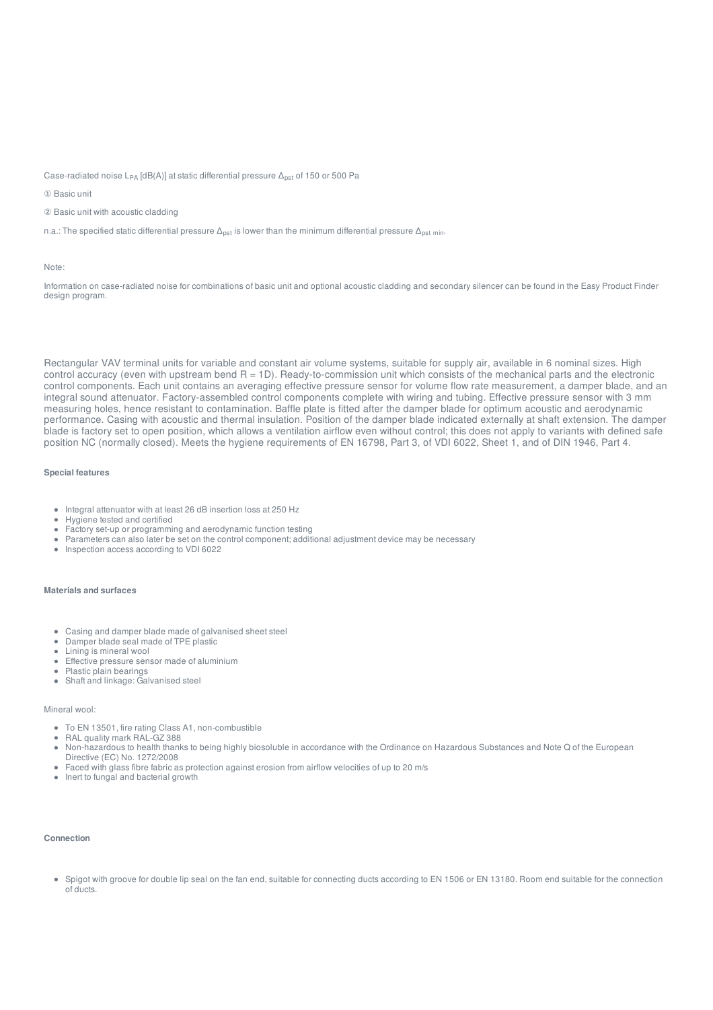Case-radiated noise L<sub>PA</sub> [dB(A)] at static differential pressure  $\Delta_{\rm pst}$  of 150 or 500 Pa

① Basic unit

② Basic unit with acoustic cladding

n.a.: The specified static differential pressure  $\Delta_{\sf pst}$  is lower than the minimum differential pressure  $\Delta_{\sf pst}$  <sub>min</sub>.

#### Note:

Information on case-radiated noise for combinations of basic unit and optional acoustic cladding and secondary silencer can be found in the Easy Product Finder design program.

Rectangular VAV terminal units for variable and constant air volume systems, suitable for supply air, available in 6 nominal sizes. High control accuracy (even with upstream bend R = 1D). Ready-to-commission unit which consists of the mechanical parts and the electronic control components. Each unit contains an averaging effective pressure sensor for volume flow rate measurement, a damper blade, and an integral sound attenuator. Factory-assembled control components complete with wiring and tubing. Effective pressure sensor with 3 mm measuring holes, hence resistant to contamination. Baffle plate is fitted after the damper blade for optimum acoustic and aerodynamic performance. Casing with acoustic and thermal insulation. Position of the damper blade indicated externally at shaft extension. The damper blade is factory set to open position, which allows a ventilation airflow even without control; this does not apply to variants with defined safe position NC (normally closed). Meets the hygiene requirements of EN 16798, Part 3, of VDI 6022, Sheet 1, and of DIN 1946, Part 4.

#### **Special features**

- Integral attenuator with at least 26 dB insertion loss at 250 Hz
- Hygiene tested and certified
- Factory set-up or programming and aerodynamic function testing
- Parameters can also later be set on the control component; additional adjustment device may be necessary
- Inspection access according to VDI 6022

#### **Materials and surfaces**

- Casing and damper blade made of galvanised sheet steel
- $\alpha$  . Damper blade seal made of TPE plastic
- Lining is mineral wool
- $\alpha$ Effective pressure sensor made of aluminium
- Plastic plain bearings
- Shaft and linkage: Galvanised steel

#### Mineral wool:

- To EN 13501, fire rating Class A1, non-combustible
- RAL quality mark RAL-GZ 388
- Non-hazardous to health thanks to being highly biosoluble in accordance with the Ordinance on Hazardous Substances and Note Q of the European Directive (EC) No. 1272/2008
- Faced with glass fibre fabric as protection against erosion from airflow velocities of up to 20 m/s
- Inert to fungal and bacterial growth

#### **Connection**

Spigot with groove for double lip seal on the fan end, suitable for connecting ducts according to EN 1506 or EN 13180. Room end suitable for the connection of ducts.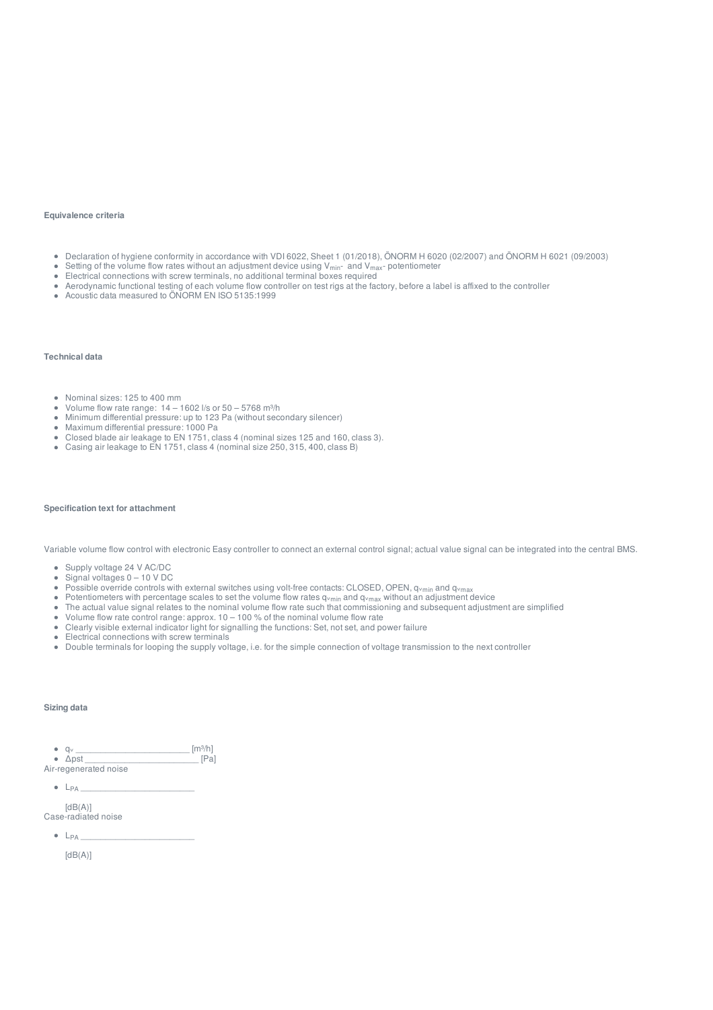#### **Equivalence criteria**

- Declaration of hygiene conformity in accordance with VDI 6022, Sheet 1 (01/2018), ÖNORM H 6020 (02/2007) and ÖNORM H 6021 (09/2003)
- $\bullet$ Setting of the volume flow rates without an adjustment device using  $V_{min}$  and  $V_{max}$  potentiometer
- Setting of the volume flow rates without an adjustment device using v<sub>imin</sub>- and v<sub>imax</sub>.<br>Electrical connections with screw terminals, no additional terminal boxes required  $\bullet$
- Aerodynamic functional testing of each volume flow controller on test rigs at the factory, before a label is affixed to the controller
- Acoustic data measured to ÖNORM EN ISO 5135:1999

#### **Technical data**

- Nominal sizes: 125 to 400 mm
- $\bullet$ Volume flow rate range:  $14 - 1602$  I/s or  $50 - 5768$  m<sup>3</sup>/h
- $\bullet$ Minimum differential pressure: up to 123 Pa (without secondary silencer)
- Maximum differential pressure: 1000 Pa
- Closed blade air leakage to EN 1751, class 4 (nominal sizes 125 and 160, class 3).
- $\bullet$ Casing air leakage to EN 1751, class 4 (nominal size 250, 315, 400, class B)

#### **Specification text for attachment**

Variable volume flow control with electronic Easy controller to connect an external control signal; actual value signal can be integrated into the central BMS.

- Supply voltage 24 V AC/DC
- Signal voltages 0 10 V DC
- $\bullet$ Possible override controls with external switches using volt-free contacts: CLOSED, OPEN,  $q_{vmin}$  and  $q_{vmax}$
- $\bullet$ Potentiometers with percentage scales to set the volume flow rates q<sub>vmin</sub> and q<sub>vmax</sub> without an adjustment device
- $\bullet$ The actual value signal relates to the nominal volume flow rate such that commissioning and subsequent adjustment are simplified
- $\bullet$ Volume flow rate control range: approx. 10 – 100 % of the nominal volume flow rate
- $\bullet$ Clearly visible external indicator light for signalling the functions: Set, not set, and power failure
- $\bullet$ Electrical connections with screw terminals
- Double terminals for looping the supply voltage, i.e. for the simple connection of voltage transmission to the next controller

#### **Sizing data**

 $q_v$   $q_v$   $\overline{\phantom{a}}$  [m<sup>3</sup>/h]  $[$ m<sup>3</sup>/h]  $[$ m<sup>3</sup>/h]  $[$ mal Δpst \_\_\_\_\_\_\_\_\_\_\_\_\_\_\_\_\_\_\_\_\_\_\_ [Pa]

Air-regenerated noise

L \_\_\_\_\_\_\_\_\_\_\_\_\_\_\_\_\_\_\_\_\_\_\_ PA

 $[dB(A)]$ Case-radiated noise

L \_\_\_\_\_\_\_\_\_\_\_\_\_\_\_\_\_\_\_\_\_\_\_ PA

 $[dB(A)]$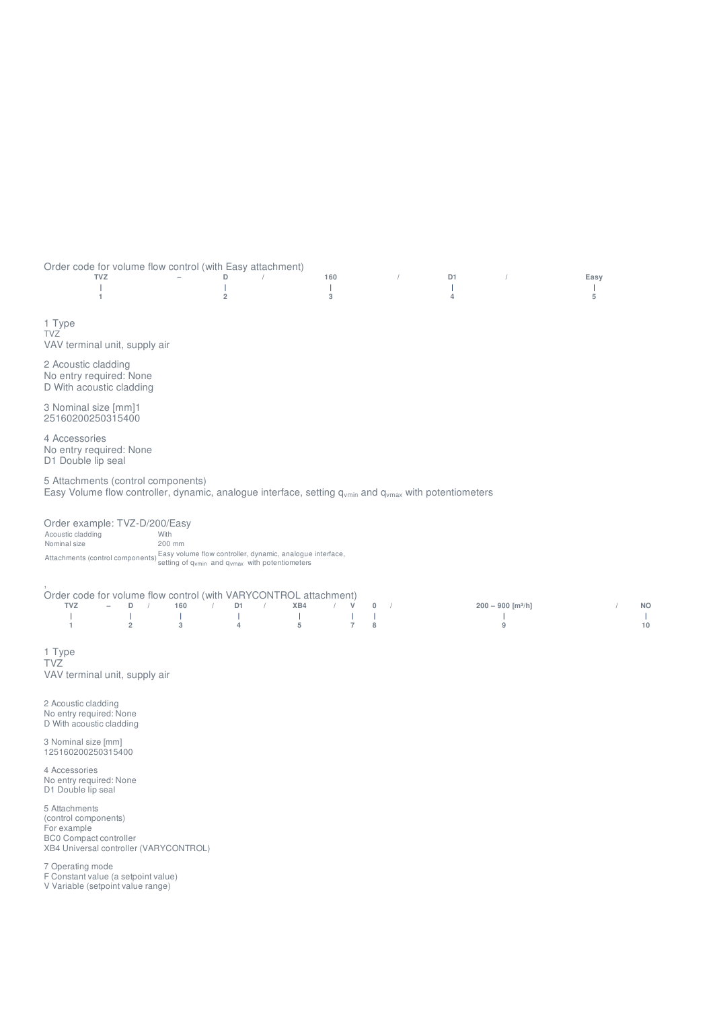Order code for volume flow control (with Easy attachment)

|  |  |  |  | the contract of the contract of the contract of the contract of the contract of the contract of the contract of |
|--|--|--|--|-----------------------------------------------------------------------------------------------------------------|
|  |  |  |  | $\frac{1}{2}$ and $\frac{2}{3}$ and $\frac{4}{1}$ and $\frac{5}{1}$                                             |
|  |  |  |  |                                                                                                                 |
|  |  |  |  |                                                                                                                 |

1 Type TVZ VAV terminal unit, supply air

2 Acoustic cladding No entry required: None D With acoustic cladding

3 Nominal size [mm]1 25160200250315400

4 Accessories No entry required: None D1 Double lip seal

5 Attachments (control components) Easy Volume flow controller, dynamic, analogue interface, setting  $q_{\rm vmin}$  and  $q_{\rm vmax}$  with potentiometers

Order example: TVZ-D/200/Easy<br>Acoustic cladding With Acoustic cladding Nominal size 200 mm Attachments (control components) Easy volume flow controller, dynamic, analogue interface,<br>Setting of q mand quan and quan with potentiometers

#### , Order code for volume flow control (with VARYCONTROL attachment)

| <b>TVZ</b> |  |  |  | $-$ D / 160 / D1 / XB4 / V 0 /                                                                                                                                                                                                   |  |  | $200 - 900$ [m <sup>3</sup> /h]   | <b>NO</b>                         |
|------------|--|--|--|----------------------------------------------------------------------------------------------------------------------------------------------------------------------------------------------------------------------------------|--|--|-----------------------------------|-----------------------------------|
|            |  |  |  | $\frac{1}{2}$ . The set of the set of the set of the set of the set of the set of the set of the set of the set of the set of the set of the set of the set of the set of the set of the set of the set of the set of the set of |  |  | the control of the control of the | <b>Contract Contract Contract</b> |
|            |  |  |  | $1$ 2 3 4 5 7 8                                                                                                                                                                                                                  |  |  | 9                                 | 10                                |
|            |  |  |  |                                                                                                                                                                                                                                  |  |  |                                   |                                   |

1 Type TVZ VAV terminal unit, supply air

2 Acoustic cladding No entry required: None D With acoustic cladding

3 Nominal size [mm] 125160200250315400

4 Accessories No entry required: None D1 Double lip seal

5 Attachments (control components) For example BC0 Compact controller XB4 Universal controller (VARYCONTROL)

7 Operating mode

F Constant value (a setpoint value)

V Variable (setpoint value range)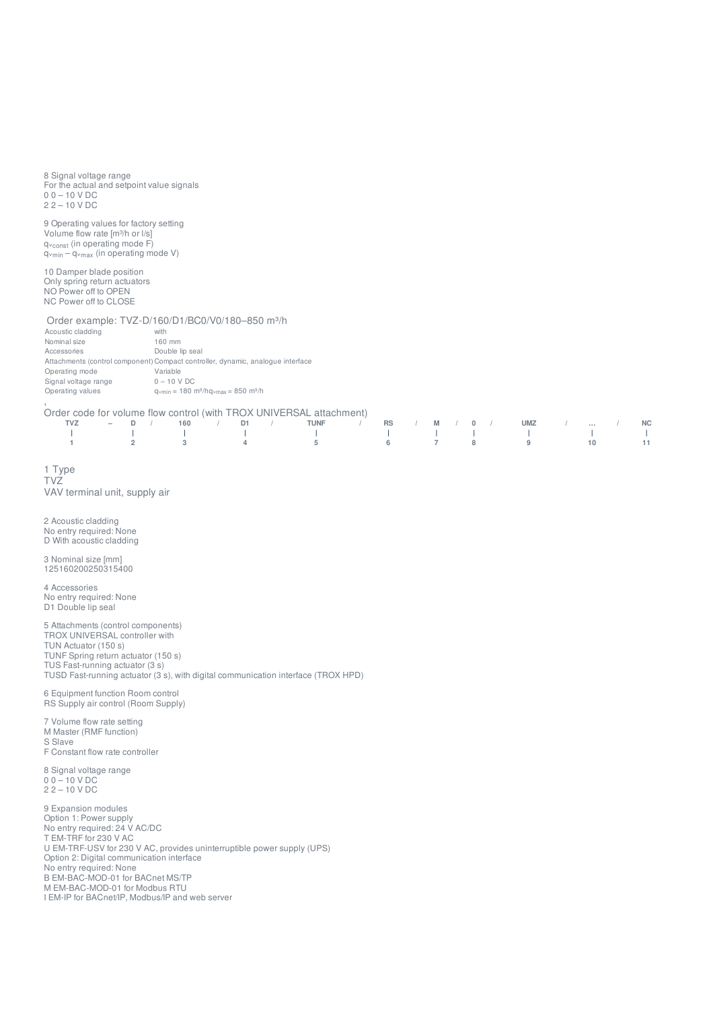8 Signal voltage range For the actual and setpoint value signals 0 0 – 10 V DC 2 2 – 10 V DC

9 Operating values for factory setting Volume flow rate [m<sup>3</sup>/h or l/s] q<sub>vconst</sub> (in operating mode F) q<sub>vconst</sub> (in operating mode V)<br>q<sub>vmin</sub> – q<sub>vmax</sub> (in operating mode V) min <sup>—</sup> Y<sup>v</sup>max

10 Damper blade position Only spring return actuators NO Power off to OPEN NC Power off to CLOSE

Order example: TVZ-D/160/D1/BC0/V0/180-850 m<sup>3</sup>/h

| Acoustic cladding    | with                                                                                   |
|----------------------|----------------------------------------------------------------------------------------|
| Nominal size         | 160 mm                                                                                 |
| Accessories          | Double lip seal                                                                        |
|                      | Attachments (control component) Compact controller, dynamic, analogue interface        |
| Operating mode       | Variable                                                                               |
| Signal voltage range | $0 - 10 V DC$                                                                          |
| Operating values     | $q_{\text{vmin}} = 180 \text{ m}^3/\text{h}q_{\text{vmax}} = 850 \text{ m}^3/\text{h}$ |
|                      |                                                                                        |

,<br>Order code for volume flow control (with TROX UNIVERSAL attachment)

|  |  |  | TVZ – D / 160 / D1 / TUNF / RS / M / 0 / UMZ /  / NC |  |  |  |  |  |  |
|--|--|--|------------------------------------------------------|--|--|--|--|--|--|
|  |  |  |                                                      |  |  |  |  |  |  |
|  |  |  | 1 2 3 4 5 6 7 8 9 10 11                              |  |  |  |  |  |  |

1 T y p e T V Z V A V t e r min al u nit, s u p ply air

2 A c o u s tic cla d din g No entry required: None D With acoustic cladding

3 N o min al siz e [ m m ] 125160200250315400

4 Accessories No entry required: None D1 Double lip seal

5 Attachments (control components) TROX UNIVERSAL controller with TUN Actuator (150 s) TUNF Spring return actuator (150 s) TUS Fast-running actuator (3 s) TUSD Fast-running actuator (3 s), with digital communication interface (TROX HPD)

6 Equipment function Room control RS Supply air control (Room Supply )

7 Volume flow rate setting M Master (RMF function) S Slave F Constant flow rate controller

8 Signal voltage range 0 0 – 10 V DC 2 2 – 10 V DC

9 Expansion modules Option 1: Power supply No entry required: 24 V AC/DC T EM-TRF for 230 V AC U EM-TRF-USV for 230 V AC, provides uninterruptible power supply (UPS)<br>Option 2: Digital communication interface ption 2: Digital communication interface No entry required: None B EM-BAC-MOD-01 for BACnet MS/TP M EM-BAC-MOD-01 for Modbus RTU I EM-IP for BACnet/IP, Modbus/IP and web server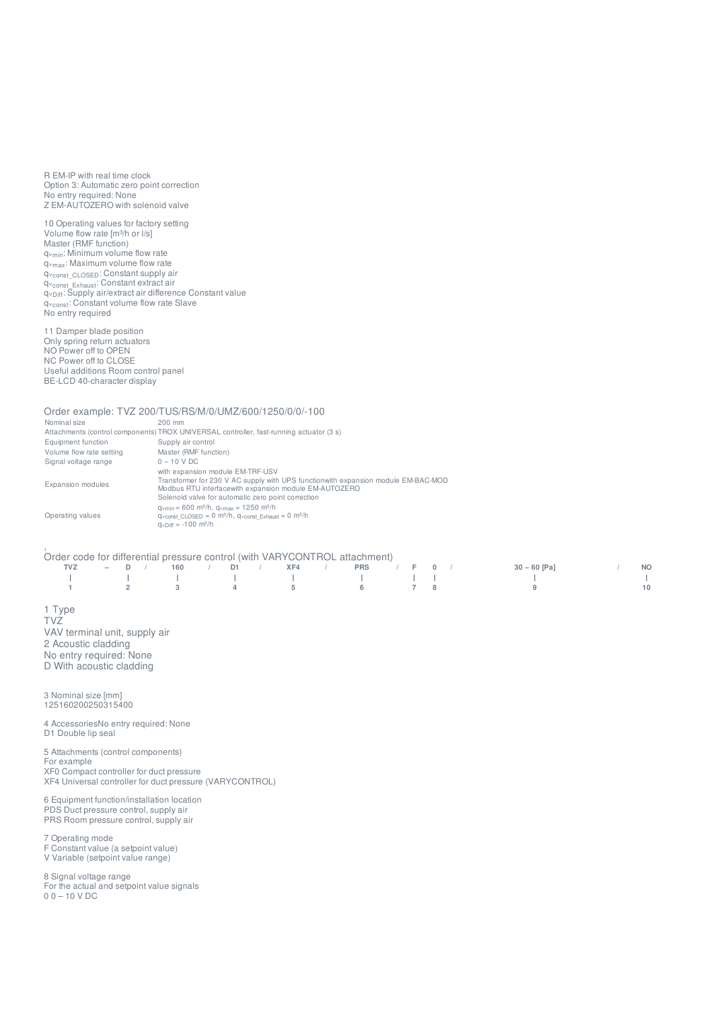R EM-IP with real time clock Option 3: Automatic zero point correction No entry required: None Z EM-AUTOZERO with solenoid valve

10 Operating values for factory setting Volume flow rate [m³/h or l/s] Master (RMF function) q<sub>vmin</sub>: Minimum volume flow rate q<sub>vmax</sub>: Maximum volume flow rate qᵥ : Constant supply air qᵥ : Constant extract air q<sub>vDiff</sub>: Supply air/extract air difference Constant value q<sub>vconst</sub>: Constant volume flow rate Slave No entry required const\_CLOSED const\_Exhaust Diff

11 Damper blade position Only spring return actuators NO Power off to OPEN NC Power off to CLOSE Useful additions Room control panel BE-LCD 40-character display

Order example: TVZ 200/TUS/RS/M/0/UMZ/600/1250/0/0/-100<br>Nominal size 200 mm Nominal size 200 mm Attachments (control components) TROX UNIVERSAL controller, fast-running actuator (3 s) Equipment function Supply air control<br>
Volume flow rate setting Master (RMF function) Volume flow rate setting Master (RMF<br>Signal voltage range  $0 - 10$  V DC Signal voltage range Expansion modules with expansion module EM-TRF-USV Transformer for 230 V AC supply with UPS functionwith expansion module EM-BAC-MOD Modbus RTU interfacewith expansion module EM-AUTOZERO Solenoid valve for automatic zero point correction Operating values qvmin = 600 m<sup>3</sup>/h, qvmax = 1250 m<sup>3</sup>/h<br>qvconst\_CLOSED = 0 m<sup>3</sup>/h, qvconst\_Exhaust = 0 m<sup>3</sup>/h<br>qvDiff = -100 m<sup>3</sup>/h min = 600 m<sup>3</sup>/h, q<sub>vmax</sub> = 1250 m<sup>3</sup>/h<br>const\_CLOSED = 0 m<sup>3</sup>/h, q<sub>vconst</sub>\_Exhaust<br>Diff = -100 m<sup>3</sup>/h

|                                                          | Order code for differential pressure control (with VARYCONTROL attachment) |  |  |  |  |  |  |  |                                                                                                                                                                                                                                   |  |  |  |  |              |  |           |
|----------------------------------------------------------|----------------------------------------------------------------------------|--|--|--|--|--|--|--|-----------------------------------------------------------------------------------------------------------------------------------------------------------------------------------------------------------------------------------|--|--|--|--|--------------|--|-----------|
| TVZ -                                                    |                                                                            |  |  |  |  |  |  |  | - D / 160 / D1 / XF4 / PRS / F 0 /                                                                                                                                                                                                |  |  |  |  | $30-60$ [Pa] |  | <b>NO</b> |
|                                                          |                                                                            |  |  |  |  |  |  |  | $\frac{1}{2}$ . The contract of the contract of the contract of the contract of the contract of the contract of the contract of the contract of the contract of the contract of the contract of the contract of the contract of t |  |  |  |  |              |  |           |
| $\begin{array}{ccccccc}\n1 & & & 2 & & & 3\n\end{array}$ |                                                                            |  |  |  |  |  |  |  | 4 5 6 7 8                                                                                                                                                                                                                         |  |  |  |  |              |  | 10        |

1 Type TVZ VAV terminal unit, supply air 2 Acoustic cladding No entry required: None D With acoustic cladding

3 Nominal size [mm] 125160200250315400

4 AccessoriesNo entry required: None D1 Double lip seal

5 Attachments (control components) For example XF0 Compact controller for duct pressure XF4 Universal controller for duct pressure (VARYCONTROL)

6 Equipment function/installation location PDS Duct pressure control, supply air PRS Room pressure control, supply air

7 Operating mode

F Constant value (a setpoint value) V Variable (setpoint value range)

8 Signal voltage range For the actual and setpoint value signals 0 0 – 10 V DC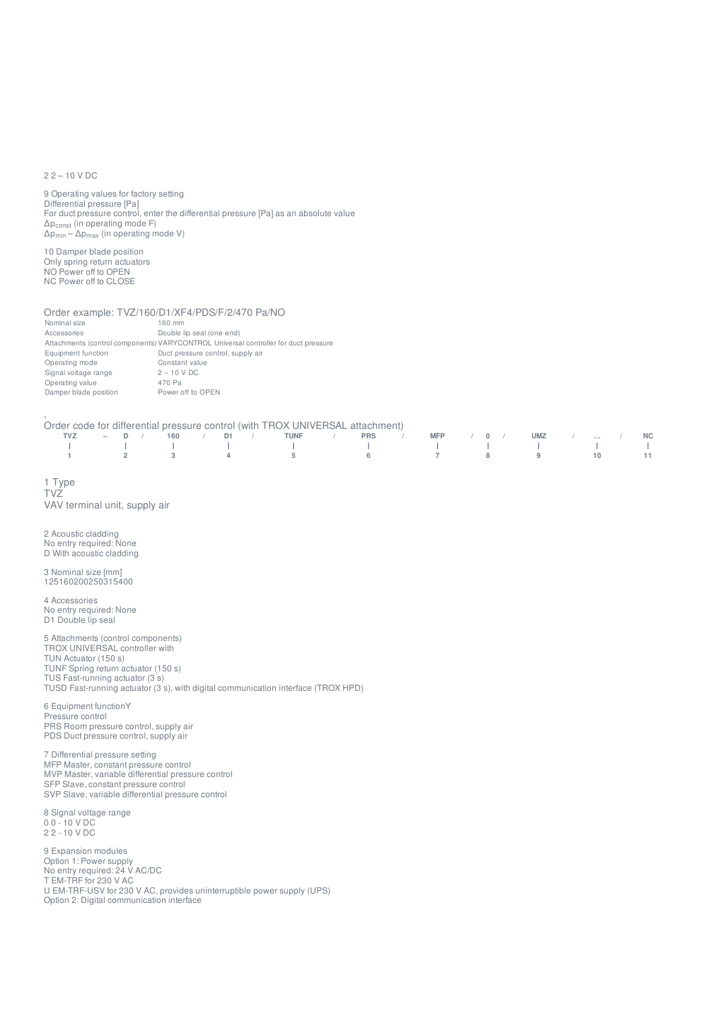#### 2 2 – 10 V DC

9 Operating values for factory setting Differential pressure [Pa] For duct pressure control, enter the differential pressure [Pa] as an absolute value  $\Delta \mathsf{p}_{\mathsf{const}}$  (in operating mode F) Δp<sub>min</sub> – Δp<sub>max</sub> (in operating mode V)

10 Damper blade position Only spring return actuators NO Power off to OPEN NC Power off to CLOSE

#### Order example: TVZ/160/D1/XF4/PDS/F/2/470 Pa/NO

| Nominal size          | 160 mm                                                                              |
|-----------------------|-------------------------------------------------------------------------------------|
| Accessories           | Double lip seal (one end)                                                           |
|                       | Attachments (control components) VARYCONTROL Universal controller for duct pressure |
| Equipment function    | Duct pressure control, supply air                                                   |
| Operating mode        | Constant value                                                                      |
| Signal voltage range  | $2 - 10$ V DC                                                                       |
| Operating value       | 470 Pa                                                                              |
| Damper blade position | Power off to OPEN                                                                   |

#### Order code for differential pressure control (with TROX UNIVERSAL attachment)

|  |  |  | TVZ – D / 160 / D1 / TUNF / PRS / MFP / 0 / UMZ /  / NC |  |  |  |  |  |  |
|--|--|--|---------------------------------------------------------|--|--|--|--|--|--|
|  |  |  |                                                         |  |  |  |  |  |  |
|  |  |  | 1 2 3 4 5 6 7 8 9 10 11                                 |  |  |  |  |  |  |

1 Type TVZ VAV terminal unit, supply air

2 Acoustic cladding No entry required: None D With acoustic cladding

,

3 Nominal size [mm] 125160200250315400

4 Accessories No entry required: None D1 Double lip seal

5 Attachments (control components) TROX UNIVERSAL controller with TUN Actuator (150 s) TUNF Spring return actuator (150 s) TUS Fast-running actuator (3 s) TUSD Fast-running actuator (3 s), with digital communication interface (TROX HPD)

6 Equipment functionY Pressure control PRS Room pressure control, supply air PDS Duct pressure control, supply air

7 Differential pressure setting MFP Master, constant pressure control MVP Master, variable differential pressure control SFP Slave, constant pressure control SVP Slave, variable differential pressure control

8 Signal voltage range 0 0 - 10 V DC 2 2 - 10 V DC

9 Expansion modules Option 1: Power supply No entry required: 24 V AC/DC T EM-TRF for 230 V AC U EM-TRF-USV for 230 V AC, provides uninterruptible power supply (UPS) Option 2: Digital communication interface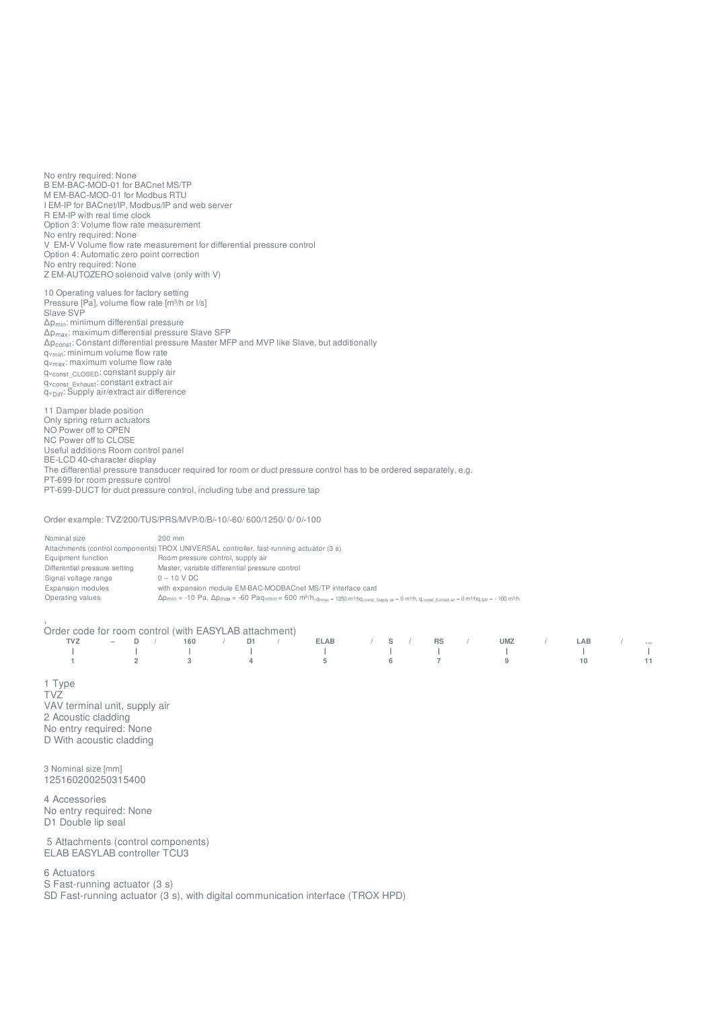No entry required: None B EM-BAC-MOD-01 for BACnet MS/TP M EM-BAC-MOD-01 for Modbus RTU I EM-IP for BACnet/IP, Modbus/IP and web server R EM-IP with real time clock Option 3: Volume flow rate measurement No entry required: None V EM-V Volume flow rate measurement for differential pressure control Option 4: Automatic zero point correction No entry required: None Z EM-AUTOZERO solenoid valve (only with V)

10 Operating values for factory setting Pressure [Pa], volume flow rate [m3/h or l/s] Slave SVP Δp<sub>min</sub>: minimum differential pressure  $\Delta$ p $_{\rm max}$ : maximum differential pressure Slave SFP  $\Delta \mathsf{p}_{\mathsf{const}}$ : Constant differential pressure Master MFP and MVP like Slave, but additionally q<sub>vmin</sub>: minimum volume flow rate q<sub>vmax</sub>: maximum volume flow rate qvconst\_CLOSED: constant supply air qᵥ : constant extract air q<sub>⊻const\_Exhaust</sub>. constant extract air<br>q<sub>⊻Diff</sub>: Supply air/extract air difference Diff

11 Damper blade position Only spring return actuators NO Power off to OPEN NC Power off to CLOSE Useful additions Room control panel BE-LCD 40-character display The differential pressure transducer required for room or duct pressure control has to be ordered separately, e.g. PT-699 for room pressure control PT-699-DUCT for duct pressure control, including tube and pressure tap

Order example: TVZ/200/TUS/PRS/MVP/0/B/-10/-60/ 600/1250/ 0/ 0/-100

| Nominal size                  | $200$ mm                                                                                                                                                                                                                                                                                                                              |
|-------------------------------|---------------------------------------------------------------------------------------------------------------------------------------------------------------------------------------------------------------------------------------------------------------------------------------------------------------------------------------|
|                               | Attachments (control components) TROX UNIVERSAL controller, fast-running actuator (3 s)                                                                                                                                                                                                                                               |
| Equipment function            | Room pressure control, supply air                                                                                                                                                                                                                                                                                                     |
| Differential pressure setting | Master, variable differential pressure control                                                                                                                                                                                                                                                                                        |
| Signal voltage range          | $0 - 10$ V DC                                                                                                                                                                                                                                                                                                                         |
| Expansion modules             | with expansion module EM-BAC-MODBACnet MS/TP interface card                                                                                                                                                                                                                                                                           |
| Operating values              | $\Delta p_{min} = -10 \text{ Pa}, \Delta p_{max} = -60 \text{ Paq}\cdot \text{min} = 600 \text{ m}^3/\text{h}, q_{\text{vmax}} = 1250 \text{ m}^3/\text{h}, q_{\text{const}} \text{ Suow air} = 0 \text{ m}^3/\text{h}, q_{\text{const}} \text{ Extraction air} = 0 \text{ m}^3/\text{h}, q_{\text{tot}} = -100 \text{ m}^3/\text{h}$ |

Order code for room control (with EASYLAB attachment)

| TVZ – D / 160 / D1 / ELAB / S / RS / UMZ / LAB / |  |  |  |  |  |  |  |  |  |
|--------------------------------------------------|--|--|--|--|--|--|--|--|--|
|                                                  |  |  |  |  |  |  |  |  |  |
|                                                  |  |  |  |  |  |  |  |  |  |

1 Type TVZ VAV terminal unit, supply air 2 Acoustic cladding No entry required: None D With acoustic cladding

3 Nominal size [mm] 125160200250315400

4 Accessories No entry required: None D1 Double lip seal

5 Attachments (control components) ELAB EASYLAB controller TCU3

6 Actuators

,

S Fast-running actuator (3 s)

SD Fast-running actuator (3 s), with digital communication interface (TROX HPD)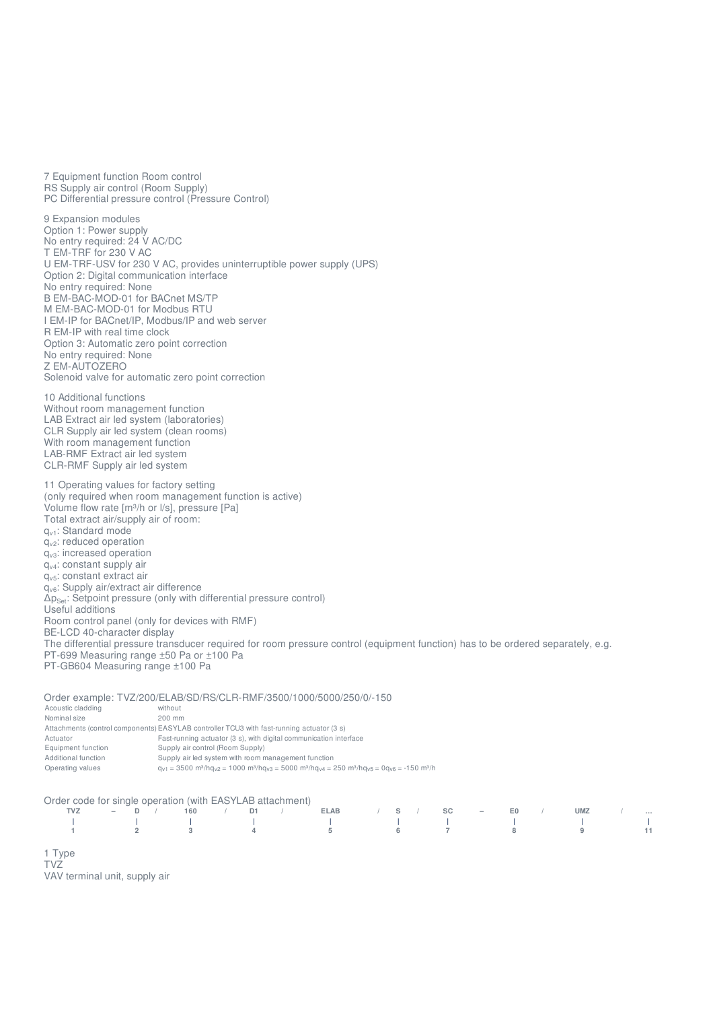7 Equipment function Room control RS Supply air control (Room Supply) PC Differential pressure control (Pressure Control)

9 Expansion modules Option 1: Power supply No entry required: 24 V AC/DC T EM-TRF for 230 V AC U EM-TRF-USV for 230 V AC, provides uninterruptible power supply (UPS) Option 2: Digital communication interface No entry required: None B EM-BAC-MOD-01 for BACnet MS/TP M EM-BAC-MOD-01 for Modbus RTU I EM-IP for BACnet/IP, Modbus/IP and web server R EM-IP with real time clock Option 3: Automatic zero point correction No entry required: None Z EM-AUTOZERO Solenoid valve for automatic zero point correction

10 Additional functions Without room management function LAB Extract air led system (laboratories) CLR Supply air led system (clean rooms) With room management function LAB-RMF Extract air led system CLR-RMF Supply air led system

11 Operating values for factory setting (only required when room management function is active) Volume flow rate [m³/h or l/s], pressure [Pa] Total extract air/supply air of room: q<sub>v1</sub>: Standard mode  $q_{v2}$ : reduced operation  $q<sub>v3</sub>$ : increased operation  $q_{v4}$ : constant supply air q<sub>v5</sub>: constant extract air q<sub>v6</sub>: Supply air/extract air difference  $\Delta p_{\rm Set}$ : Setpoint pressure (only with differential pressure control) Useful additions Room control panel (only for devices with RMF) BE-LCD 40-character display The differential pressure transducer required for room pressure control (equipment function) has to be ordered separately, e.g. PT-699 Measuring range ±50 Pa or ±100 Pa

PT-GB604 Measuring range ±100 Pa

|                     | Order example: TVZ/200/ELAB/SD/RS/CLR-RMF/3500/1000/5000/250/0/-150                                                                                                                                                 |
|---------------------|---------------------------------------------------------------------------------------------------------------------------------------------------------------------------------------------------------------------|
| Acoustic cladding   | without                                                                                                                                                                                                             |
| Nominal size        | $200$ mm                                                                                                                                                                                                            |
|                     | Attachments (control components) EASYLAB controller TCU3 with fast-running actuator (3 s)                                                                                                                           |
| Actuator            | Fast-running actuator (3 s), with digital communication interface                                                                                                                                                   |
| Equipment function  | Supply air control (Room Supply)                                                                                                                                                                                    |
| Additional function | Supply air led system with room management function                                                                                                                                                                 |
| Operating values    | $q_{V1}$ = 3500 m <sup>3</sup> /hg <sub>V2</sub> = 1000 m <sup>3</sup> /hg <sub>V3</sub> = 5000 m <sup>3</sup> /hg <sub>V4</sub> = 250 m <sup>3</sup> /hg <sub>V5</sub> = 0g <sub>V6</sub> = -150 m <sup>3</sup> /h |

#### Order code for single operation (with EASYLAB attachment)

|                                                                 |  |  |  |  | TVZ - D / 160 / D1 / ELAB / S / SC - E0 / UMZ / |  |  |  |  |  |
|-----------------------------------------------------------------|--|--|--|--|-------------------------------------------------|--|--|--|--|--|
|                                                                 |  |  |  |  |                                                 |  |  |  |  |  |
|                                                                 |  |  |  |  |                                                 |  |  |  |  |  |
|                                                                 |  |  |  |  |                                                 |  |  |  |  |  |
| the contract of the contract of the contract of the contract of |  |  |  |  |                                                 |  |  |  |  |  |

1 Type TVZ VAV terminal unit, supply air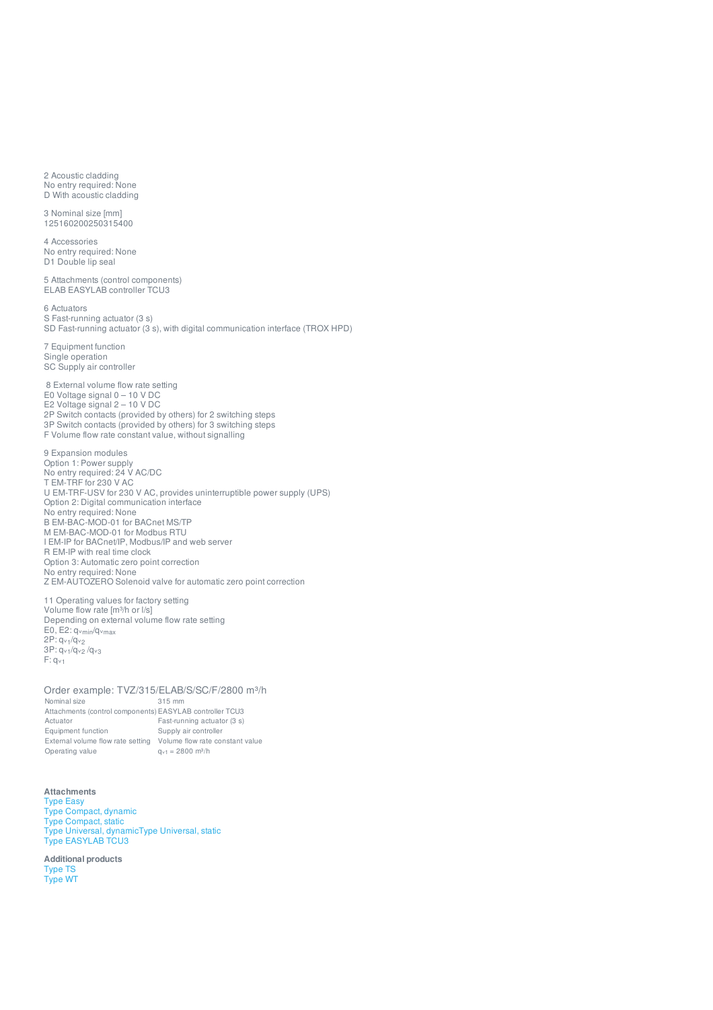2 Acoustic cladding No entry required: None D With acoustic cladding

3 Nominal size [mm] 125160200250315400

4 Accessories No entry required: None D1 Double lip seal

5 Attachments (control components) ELAB EASYLAB controller TCU3

6 Actuators S Fast-running actuator (3 s) SD Fast-running actuator (3 s), with digital communication interface (TROX HPD)

7 Equipment function Single operation SC Supply air controller

8 External volume flow rate setting E0 Voltage signal 0 – 10 V DC E2 Voltage signal 2 – 10 V DC 2P Switch contacts (provided by others) for 2 switching steps 3P Switch contacts (provided by others) for 3 switching steps F Volume flow rate constant value, without signalling

9 Expansion modules Option 1: Power supply No entry required: 24 V AC/DC T EM-TRF for 230 V AC U EM-TRF-USV for 230 V AC, provides uninterruptible power supply (UPS) Option 2: Digital communication interface No entry required: None B EM-BAC-MOD-01 for BACnet MS/TP M EM-BAC-MOD-01 for Modbus RTU I EM-IP for BACnet/IP, Modbus/IP and web server R EM-IP with real time clock Option 3: Automatic zero point correction No entry required: None Z EM-AUTOZERO Solenoid valve for automatic zero point correction

11 Operating values for factory setting Volume flow rate [m³/h or l/s] Depending on external volume flow rate setting  $E0, E2: q<sub>vmin</sub>/q<sub>vmax</sub>$ 2P: q<sub>v1</sub>/q<sub>v2</sub> 3P: q<sub>v1</sub>/q<sub>v2</sub>/q<sub>v3</sub>  $F: q_{v1}$ 

Order example: TVZ/315/ELAB/S/SC/F/2800 m<sup>3</sup>/h<br>Nominal size 315 mm Nominal size Attachments (control components) EASYLAB controller TCU3 Actuator Fast-running actuator (3 s) Equipment function Supply air controller External volume flow rate setting Volume flow rate constant value Operating value  $q_{v1} = 2800$  m<sup>3</sup>/h

#### **Attachments**

Type [Easy](https://www.troxuk.co.uk/control-components/easy-a5e21faff862e7c8) Type [Compact,](https://www.troxuk.co.uk/control-components/compact-dynamic-fe3bd20028a955d0) dynamic Type [Compact,](https://www.troxuk.co.uk/control-components/compact-static-07fbde3a8a9ea4a5) static [Type](https://www.troxuk.co.uk/control-components/universal-dynamic-0467e2df917f46f6) Universal, dynamicType [Universal,](https://www.troxuk.co.uk/control-components/universal-static-55473b4e07842802) static [Type](https://www.troxuk.co.uk/controller/easylab-tcu3-98d25534db59c0ce) [EASYLAB](https://www.troxuk.co.uk/vvs-regelgeraete/tvj-4976ba910dadd03e?amp%253B_scrivito_workspace_id=n9d44d795e7e164a#__target_object_not_reachable) TCU3

**Additional products** [Type](https://www.troxuk.co.uk/secondary-silencers/ts-3dda3493d4be713d) TS [Type](https://www.troxuk.co.uk/variable-volumenstromregelung/regelkomponente-varycontrol-%25E2%2580%2593-easy-80e8ff6ded83e1e7) [WT](https://www.troxuk.co.uk/waermeuebertragung/wt-7ee125f38085c6a6)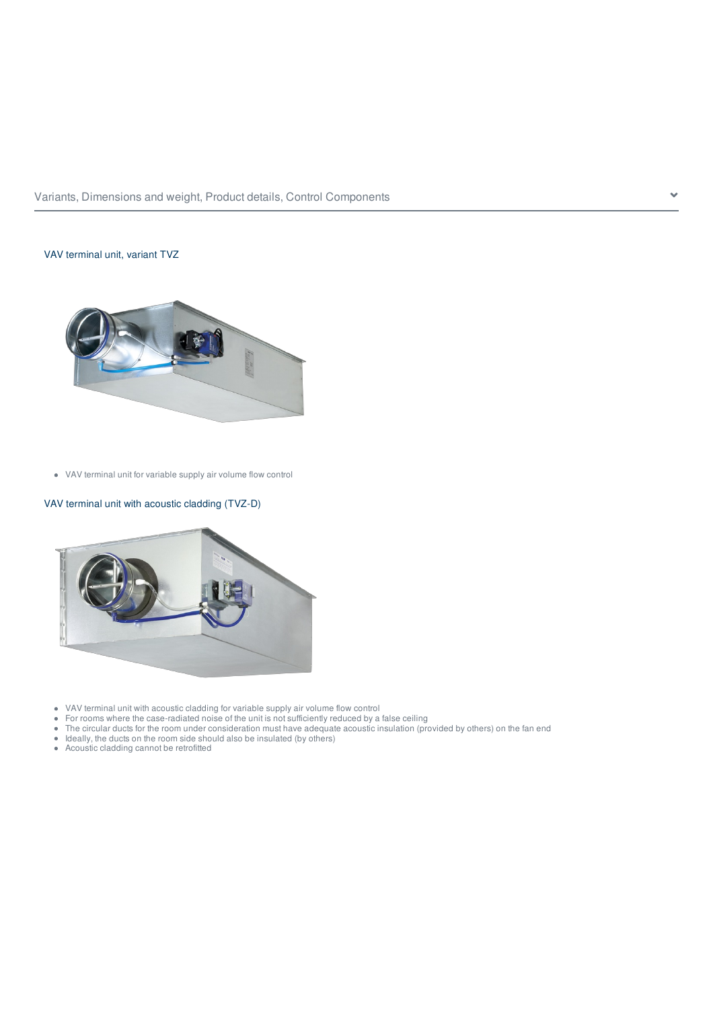

## VAV terminal unit, variant TVZ



VAV terminal unit for variable supply air volume flow control

## VAV terminal unit with acoustic cladding (TVZ-D)



- VAV terminal unit with acoustic cladding for variable supply air volume flow control
- For rooms where the case-radiated noise of the unit is not sufficiently reduced by a false ceiling
- The circular ducts for the room under consideration must have adequate acoustic insulation (provided by others) on the fan end
- Ideally, the ducts on the room side should also be insulated (by others)
- Acoustic cladding cannot be retrofitted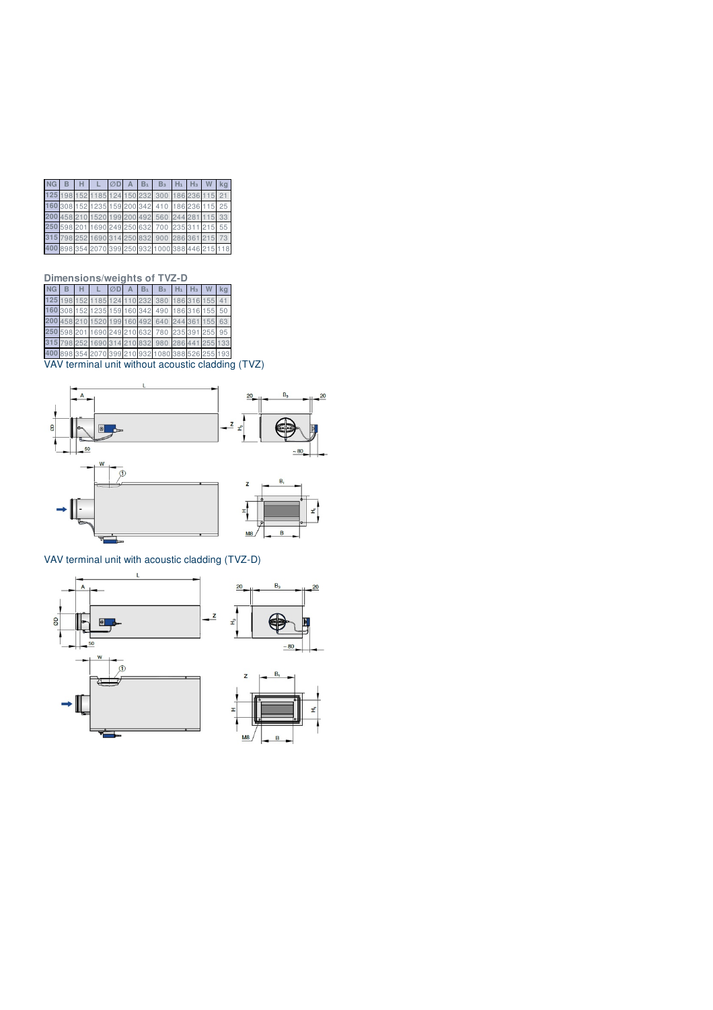| NG 7 |  | $B$ H $L$ $OD$ A $B_1$ $B_3$ $H_1$ $H_3$ W $kq$   |  |  |  |    |
|------|--|---------------------------------------------------|--|--|--|----|
|      |  | 125 198 152 1185 124 150 232 300 186 236 115 21   |  |  |  |    |
|      |  | 160 308 152 1235 159 200 342 410 186 236 115      |  |  |  | 25 |
|      |  | 200 458 210 1520 199 200 492 560 244 281 115 33   |  |  |  |    |
|      |  | 250 598 201 1690 249 250 632 700 235 311 215 55   |  |  |  |    |
|      |  | 315 798 252 1690 314 250 832 900 286 361 215 73   |  |  |  |    |
|      |  | 400 898 354 2070 399 250 932 1000 388 446 215 118 |  |  |  |    |

## **Dimensions/weights of TVZ-D**

|  | $B$ $H$ $L$ $OD$ $A$ $B_1$ $B_3$ $H_1$ $H_3$ $W$  |  |  |  |  |
|--|---------------------------------------------------|--|--|--|--|
|  | 125 198 152 1185 124 110 232 380 186 316 155      |  |  |  |  |
|  | 160 308 152 1235 159 160 342 490 186 316 155 50   |  |  |  |  |
|  | 200 458 210 1520 199 160 492 640 244 361 155 63   |  |  |  |  |
|  | 250 598 201 1690 249 210 632 780 235 391 255 95   |  |  |  |  |
|  | 315 798 252 1690 314 210 832 980 286 441 255 133  |  |  |  |  |
|  | 400 898 354 2070 399 210 932 1080 388 526 255 193 |  |  |  |  |
|  |                                                   |  |  |  |  |

VAV terminal unit without acoustic cladding (TVZ)



## VAV terminal unit with acoustic cladding (TVZ-D)





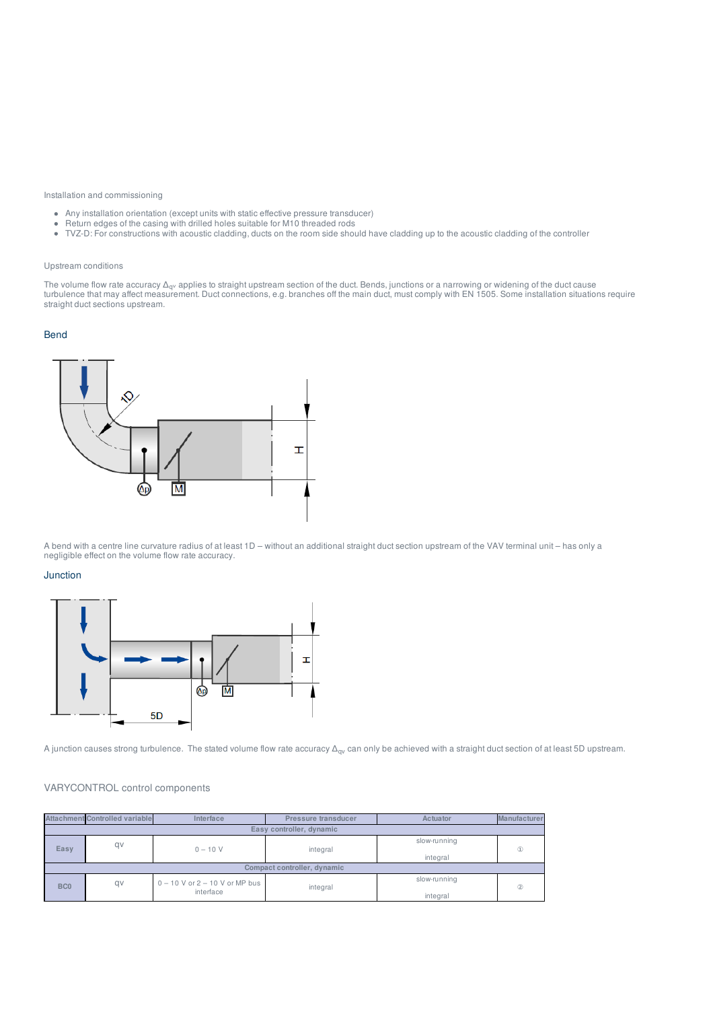#### Installation and commissioning

- Any installation orientation (except units with static effective pressure transducer)
- Return edges of the casing with drilled holes suitable for M10 threaded rods
- TVZ-D: For constructions with acoustic cladding, ducts on the room side should have cladding up to the acoustic cladding of the controller

#### Upstream conditions

The volume flow rate accuracy  $\Delta_{\rm qv}$  applies to straight upstream section of the duct. Bends, junctions or a narrowing or widening of the duct cause turbulence that may affect measurement. Duct connections, e.g. branches off the main duct, must comply with EN 1505. Some installation situations require straight duct sections upstream.

## Bend



A bend with a centre line curvature radius of at least 1D – without an additional straight duct section upstream of the VAV terminal unit – has only a negligible effect on the volume flow rate accuracy.

#### Junction



A junction causes strong turbulence. The stated volume flow rate accuracy  $\Delta_{\rm qv}$  can only be achieved with a straight duct section of at least 5D upstream.

#### VARYCONTROL control components

|                 | <b>Attachment Controlled variable</b> | Interface                          | Pressure transducer         | Actuator     | <b>Manufacturer</b> |
|-----------------|---------------------------------------|------------------------------------|-----------------------------|--------------|---------------------|
|                 |                                       |                                    |                             |              |                     |
| qv<br>Easy      |                                       | $0 - 10 V$                         | integral                    | slow-running | $\circled{1}$       |
|                 |                                       |                                    |                             | integral     |                     |
|                 |                                       |                                    | Compact controller, dynamic |              |                     |
| BC <sub>0</sub> | qv                                    | $0 - 10$ V or $2 - 10$ V or MP bus | integral                    | slow-running | (2)                 |
|                 |                                       | interface                          |                             | integral     |                     |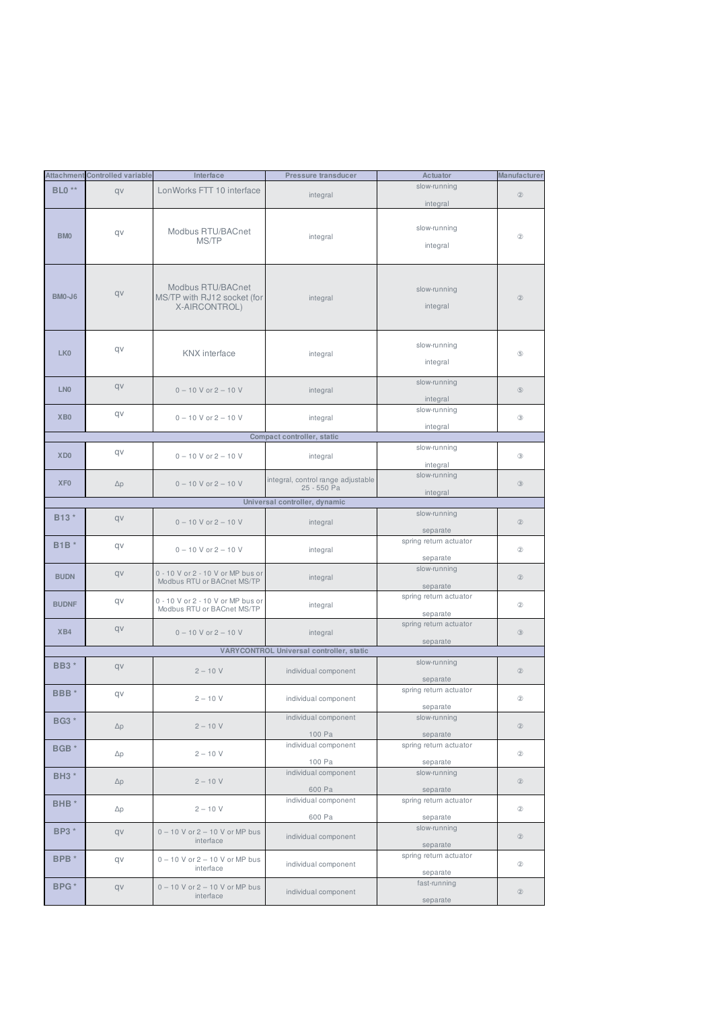|                   | <b>Attachment Controlled variable</b> | Interface                                                         | Pressure transducer                               | Actuator                           | Manufacturer   |
|-------------------|---------------------------------------|-------------------------------------------------------------------|---------------------------------------------------|------------------------------------|----------------|
| <b>BLO</b> **     | qv                                    | LonWorks FTT 10 interface                                         | integral                                          | slow-running<br>integral           | $\circled{2}$  |
| BM <sub>0</sub>   | qv                                    | Modbus RTU/BACnet<br>MS/TP                                        | integral                                          | slow-running<br>integral           | $^{\circ}$     |
| <b>BM0-J6</b>     | qv                                    | Modbus RTU/BACnet<br>MS/TP with RJ12 socket (for<br>X-AIRCONTROL) | integral                                          | slow-running<br>integral           | $\circled{2}$  |
| LK <sub>0</sub>   | qv                                    | <b>KNX</b> interface                                              | integral                                          | slow-running<br>integral           | $\circledS$    |
| LN <sub>0</sub>   | qv                                    | $0 - 10$ V or $2 - 10$ V                                          | integral                                          | slow-running<br>integral           | $\circledS$    |
| XB <sub>0</sub>   | qv                                    | $0 - 10$ V or $2 - 10$ V                                          | integral                                          | slow-running<br>integral           | $\circledcirc$ |
|                   |                                       |                                                                   | Compact controller, static                        |                                    |                |
| XD <sub>0</sub>   | qv                                    | $0 - 10$ V or $2 - 10$ V                                          | integral                                          | slow-running<br>integral           | $\circledcirc$ |
| XF <sub>0</sub>   | $\Delta p$                            | $0 - 10$ V or $2 - 10$ V                                          | integral, control range adjustable<br>25 - 550 Pa | slow-running<br>integral           | $\circledcirc$ |
|                   |                                       |                                                                   | Universal controller, dynamic                     |                                    |                |
| B <sub>13</sub> * | qv                                    | $0 - 10$ V or $2 - 10$ V                                          | integral                                          | slow-running<br>separate           | $\circled{2}$  |
| <b>B1B</b> *      | qv                                    | $0 - 10$ V or $2 - 10$ V                                          | integral                                          | spring return actuator<br>separate | $^{\circ}$     |
| <b>BUDN</b>       | qv                                    | 0 - 10 V or 2 - 10 V or MP bus or<br>Modbus RTU or BACnet MS/TP   | integral                                          | slow-running<br>separate           | $\circled{2}$  |
| <b>BUDNF</b>      | qv                                    | 0 - 10 V or 2 - 10 V or MP bus or<br>Modbus RTU or BACnet MS/TP   | integral                                          | spring return actuator<br>separate | $^{\circ}$     |
| XB4               | qv                                    | $0 - 10$ V or $2 - 10$ V                                          | integral                                          | spring return actuator<br>separate | $\circledcirc$ |
|                   |                                       |                                                                   | VARYCONTROL Universal controller, static          |                                    |                |
| <b>BB3</b> *      | qv                                    | $2 - 10 V$                                                        | individual component                              | slow-running<br>separate           | $\circled{2}$  |
| BBB <sup>*</sup>  | qv                                    | $2 - 10 V$                                                        | individual component                              | spring return actuator<br>separate | $^{\circ}$     |
| <b>BG3</b> *      | $\Delta p$                            | $2 - 10 V$                                                        | individual component<br>100 Pa                    | slow-running<br>separate           | $^\circledR$   |
| BGB <sup>*</sup>  | $\Delta p$                            | $2 - 10 V$                                                        | individual component<br>100 Pa                    | spring return actuator<br>separate | $^\circledR$   |
| <b>BH3</b> *      | $\Delta p$                            | $2 - 10 V$                                                        | individual component<br>600 Pa                    | slow-running<br>separate           | $\circled{2}$  |
| BHB <sup>*</sup>  | $\Delta p$                            | $2 - 10 V$                                                        | individual component<br>600 Pa                    | spring return actuator<br>separate | $^{\circledR}$ |
| <b>BP3</b> *      | qv                                    | $0 - 10$ V or $2 - 10$ V or MP bus<br>interface                   | individual component                              | slow-running<br>separate           | $^\circledR$   |
| BPB *             | qv                                    | $0 - 10$ V or $2 - 10$ V or MP bus<br>interface                   | individual component                              | spring return actuator<br>separate | $^\circledR$   |
| BPG <sup>*</sup>  | qv                                    | $0 - 10$ V or $2 - 10$ V or MP bus<br>interface                   | individual component                              | fast-running<br>separate           | $^\circledR$   |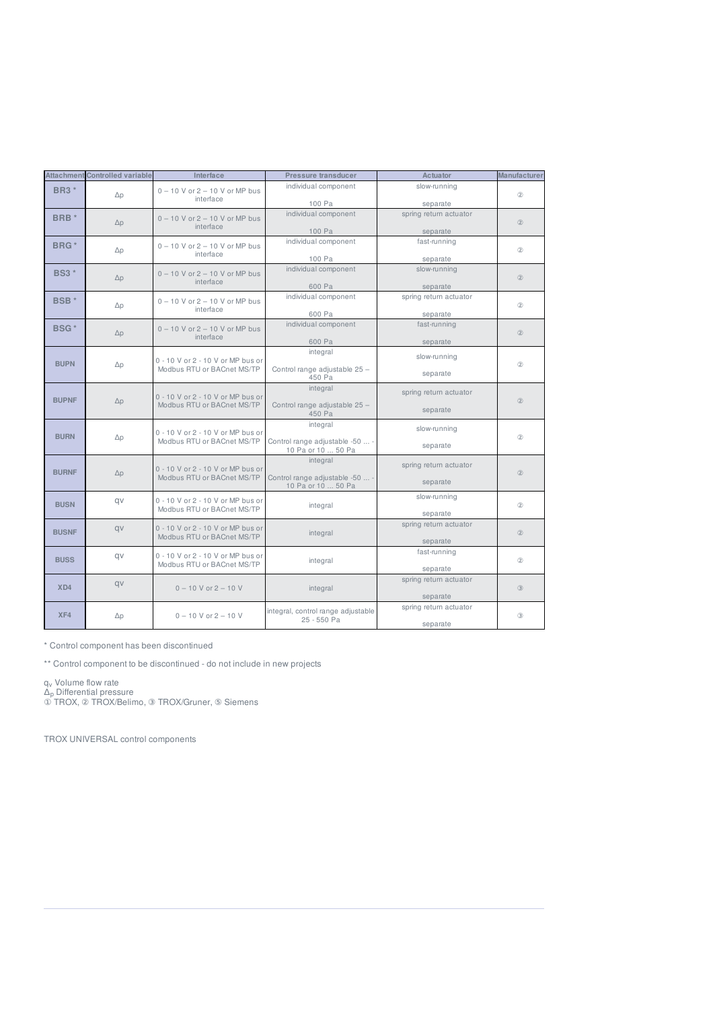|                         | <b>Attachment Controlled variable</b> | Interface                                                       | Pressure transducer                                               | Actuator                             | <b>Manufacturer</b> |
|-------------------------|---------------------------------------|-----------------------------------------------------------------|-------------------------------------------------------------------|--------------------------------------|---------------------|
| <b>BR3</b> *            | $\Delta p$                            | $0 - 10$ V or $2 - 10$ V or MP bus<br>interface                 | individual component                                              | slow-running                         | (2)                 |
| BRB <sup>*</sup>        | $\Delta p$                            | $0 - 10$ V or $2 - 10$ V or MP bus<br>interface                 | 100 Pa<br>individual component                                    | separate<br>spring return actuator   | (2)                 |
| BRG <sup>*</sup>        | $\Delta p$                            | $0 - 10$ V or $2 - 10$ V or MP bus<br>interface                 | 100 Pa<br>individual component                                    | separate<br>fast-running             | (2)                 |
| <b>BS3</b> *            | $\Delta p$                            | $0 - 10$ V or $2 - 10$ V or MP bus<br>interface                 | 100 Pa<br>individual component<br>600 Pa                          | separate<br>slow-running<br>separate | (2)                 |
| <b>BSB</b> <sup>*</sup> | $\Delta p$                            | $0 - 10$ V or $2 - 10$ V or MP bus<br>interface                 | individual component<br>600 Pa                                    | spring return actuator<br>separate   | (2)                 |
| <b>BSG*</b>             | $\Delta p$                            | $0 - 10$ V or $2 - 10$ V or MP bus<br>interface                 | individual component<br>600 Pa                                    | fast-running<br>separate             | (2)                 |
| <b>BUPN</b>             | $\Delta p$                            | 0 - 10 V or 2 - 10 V or MP bus or<br>Modbus RTU or BACnet MS/TP | integral<br>Control range adjustable 25 -<br>450 Pa               | slow-running<br>separate             | (2)                 |
| <b>BUPNF</b>            | $\Delta p$                            | 0 - 10 V or 2 - 10 V or MP bus or<br>Modbus RTU or BACnet MS/TP | integral<br>Control range adjustable 25 -<br>450 Pa               | spring return actuator<br>separate   | (2)                 |
| <b>BURN</b>             | $\Delta p$                            | 0 - 10 V or 2 - 10 V or MP bus or<br>Modbus RTU or BACnet MS/TP | integral<br>Control range adjustable -50  -<br>10 Pa or 10  50 Pa | slow-running<br>separate             | (2)                 |
| <b>BURNF</b>            | $\Delta p$                            | 0 - 10 V or 2 - 10 V or MP bus or<br>Modbus RTU or BACnet MS/TP | integral<br>Control range adjustable -50  -<br>10 Pa or 10  50 Pa | spring return actuator<br>separate   | (2)                 |
| <b>BUSN</b>             | av                                    | 0 - 10 V or 2 - 10 V or MP bus or<br>Modbus RTU or BACnet MS/TP | integral                                                          | slow-running<br>separate             | (2)                 |
| <b>BUSNF</b>            | qv                                    | 0 - 10 V or 2 - 10 V or MP bus or<br>Modbus RTU or BACnet MS/TP | integral                                                          | spring return actuator<br>separate   | (2)                 |
| <b>BUSS</b>             | av                                    | 0 - 10 V or 2 - 10 V or MP bus or<br>Modbus RTU or BACnet MS/TP | integral                                                          | fast-running<br>separate             | (2)                 |
| X <sub>D4</sub>         | qv                                    | $0 - 10$ V or $2 - 10$ V                                        | integral                                                          | spring return actuator<br>separate   | $\circled{3}$       |
| XF4                     | $\Delta p$                            | $0 - 10$ V or $2 - 10$ V                                        | integral, control range adjustable<br>25 - 550 Pa                 | spring return actuator<br>separate   | $\circled{3}$       |

\* Control component has been discontinued

\*\* Control component to be discontinued - do not include in new projects

q<sub>v</sub> Volume flow rate v

Δ<sub>p</sub> Differential pressure p

① TROX, ② TROX/Belimo, ③ TROX/Gruner, ⑤ Siemens

TROX UNIVERSAL control components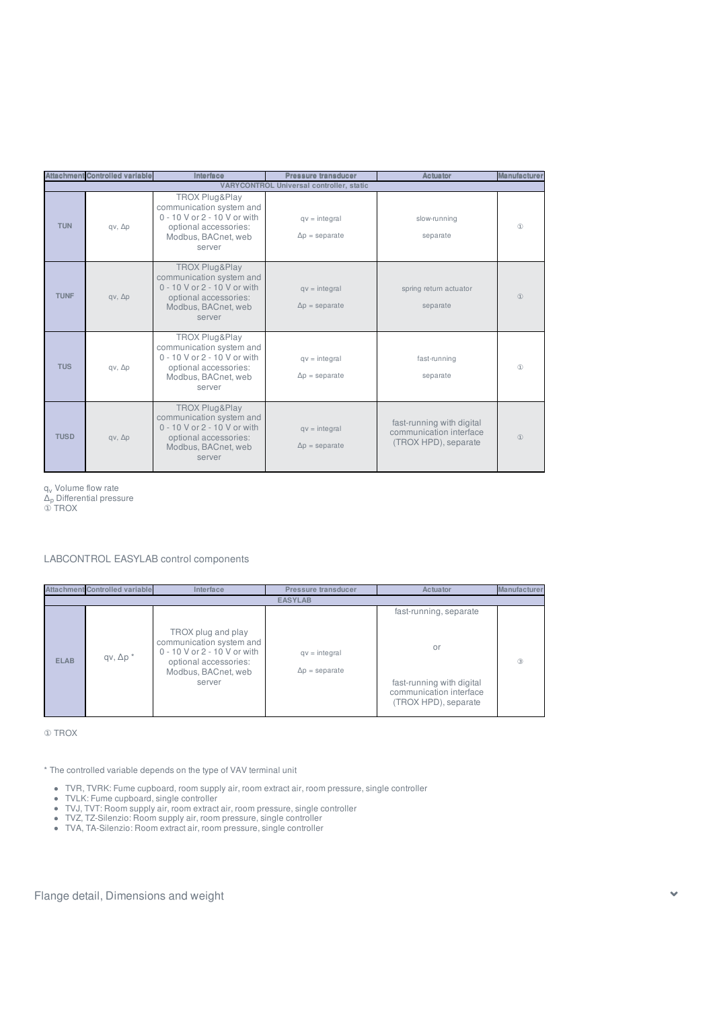|             | <b>Attachment Controlled variable</b> | Interface                                                                                                                            | Pressure transducer                             | <b>Actuator</b>                                                              | <b>Manufacture</b> |
|-------------|---------------------------------------|--------------------------------------------------------------------------------------------------------------------------------------|-------------------------------------------------|------------------------------------------------------------------------------|--------------------|
|             |                                       |                                                                                                                                      | <b>VARYCONTROL Universal controller, static</b> |                                                                              |                    |
| <b>TUN</b>  | $qv, \Delta p$                        | TROX Plug&Play<br>communication system and<br>0 - 10 V or 2 - 10 V or with<br>optional accessories:<br>Modbus, BACnet, web<br>server | $qv = integral$<br>$\Delta p =$ separate        | slow-running<br>separate                                                     | $\circled{1}$      |
| <b>TUNF</b> | $qv, \Delta p$                        | TROX Plug&Play<br>communication system and<br>0 - 10 V or 2 - 10 V or with<br>optional accessories:<br>Modbus, BACnet, web<br>server | $qv = integral$<br>$\Delta p =$ separate        | spring return actuator<br>separate                                           | $\circled{1}$      |
| <b>TUS</b>  | $qv, \Delta p$                        | TROX Plug&Play<br>communication system and<br>0 - 10 V or 2 - 10 V or with<br>optional accessories:<br>Modbus, BACnet, web<br>server | $qv = integral$<br>$\Delta p =$ separate        | fast-running<br>separate                                                     | $\circled{1}$      |
| <b>TUSD</b> | $qv, \Delta p$                        | TROX Plug&Play<br>communication system and<br>0 - 10 V or 2 - 10 V or with<br>optional accessories:<br>Modbus, BACnet, web<br>server | $qv = integral$<br>$\Delta p =$ separate        | fast-running with digital<br>communication interface<br>(TROX HPD), separate | $\circled{1}$      |

q<sub>v</sub> Volume flow rate v

 $\Delta_\mathrm{p}$  Differential pressure p

① TROX

LABCONTROL EASYLAB control components

|             | <b>Attachment Controlled variable</b> | Interface                                                                                                                                | Pressure transducer                      | Actuator                                                                                                     | Manufacturer  |
|-------------|---------------------------------------|------------------------------------------------------------------------------------------------------------------------------------------|------------------------------------------|--------------------------------------------------------------------------------------------------------------|---------------|
|             |                                       |                                                                                                                                          | <b>EASYLAB</b>                           |                                                                                                              |               |
| <b>ELAB</b> | $qv, \Delta p^*$                      | TROX plug and play<br>communication system and<br>0 - 10 V or 2 - 10 V or with<br>optional accessories:<br>Modbus, BACnet, web<br>server | $qv = integral$<br>$\Delta p =$ separate | fast-running, separate<br>or<br>fast-running with digital<br>communication interface<br>(TROX HPD), separate | $\circled{3}$ |

① TROX

\* The controlled variable depends on the type of VAV terminal unit

- TVR, TVRK: Fume cupboard, room supply air, room extract air, room pressure, single controller
- TVLK: Fume cupboard, single controller
- TVJ, TVT: Room supply air, room extract air, room pressure, single controller
- TVZ, TZ-Silenzio: Room supply air, room pressure, single controller
- TVA, TA-Silenzio: Room extract air, room pressure, single controller

Flange detail, Dimensions and weight with the state of the state of the state of the state of the state of the state of the state of the state of the state of the state of the state of the state of the state of the state o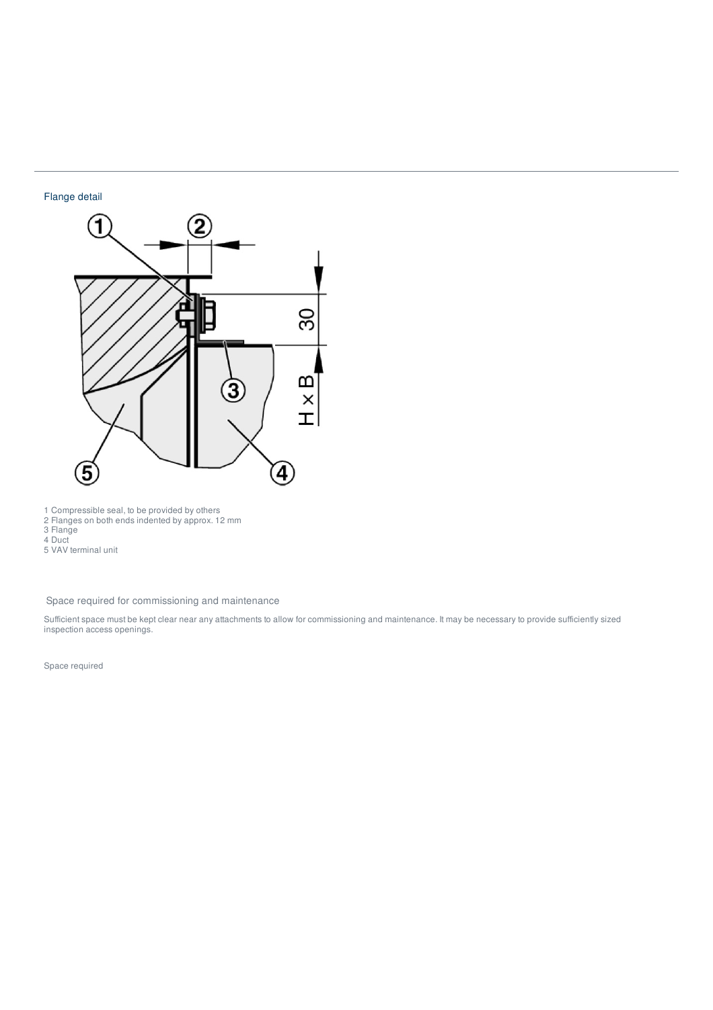## Flange detail



1 Compressible seal, to be provided by others

2 Flanges on both ends indented by approx. 12 mm

3 Flange

4 Duct 5 VAV terminal unit

Space required for commissioning and maintenance

Sufficient space must be kept clear near any attachments to allow for commissioning and maintenance. It may be necessary to provide sufficiently sized inspection access openings.

Space required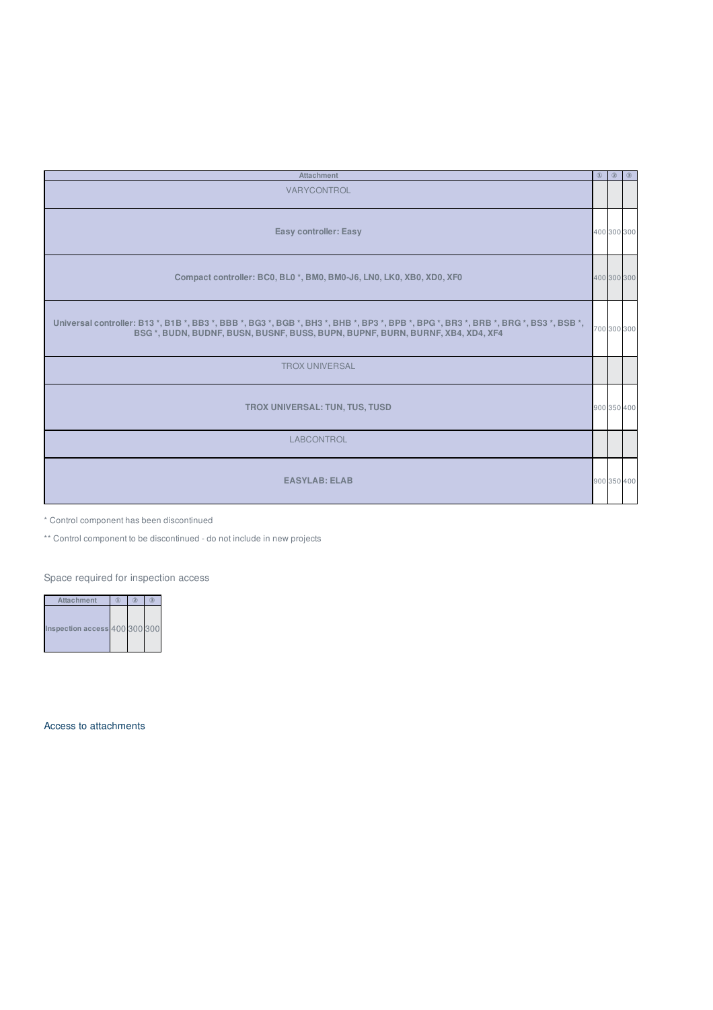| <b>Attachment</b>                                                                                                                                                                                                | $\circled{1}$ | $\circledcirc$ | $\circ$     |
|------------------------------------------------------------------------------------------------------------------------------------------------------------------------------------------------------------------|---------------|----------------|-------------|
| VARYCONTROL                                                                                                                                                                                                      |               |                |             |
| Easy controller: Easy                                                                                                                                                                                            |               |                | 400 300 300 |
| Compact controller: BC0, BL0 *, BM0, BM0-J6, LN0, LK0, XB0, XD0, XF0                                                                                                                                             |               |                | 400 300 300 |
| Universal controller: B13 *, B1B *, BB3 *, BBB *, BG3 *, BGB *, BH3 *, BHB *, BP3 *, BPB *, BPG *, BR3 *, BRG *, BR3 *, BSB *,<br>BSG *, BUDN, BUDNF, BUSN, BUSNF, BUSS, BUPN, BUPNF, BURN, BURNF, XB4, XD4, XF4 |               |                | 700 300 300 |
| <b>TROX UNIVERSAL</b>                                                                                                                                                                                            |               |                |             |
| <b>TROX UNIVERSAL: TUN, TUS, TUSD</b>                                                                                                                                                                            |               |                | 900 350 400 |
| <b>LABCONTROL</b>                                                                                                                                                                                                |               |                |             |
| <b>EASYLAB: ELAB</b>                                                                                                                                                                                             |               |                | 900 350 400 |

\* Control component has been discontinued

\*\* Control component to be discontinued - do not include in new projects

Space required for inspection access

| Attachment                   | Œ | $\sigma$ |  |
|------------------------------|---|----------|--|
| nspection access 400 300 300 |   |          |  |

Access to attachments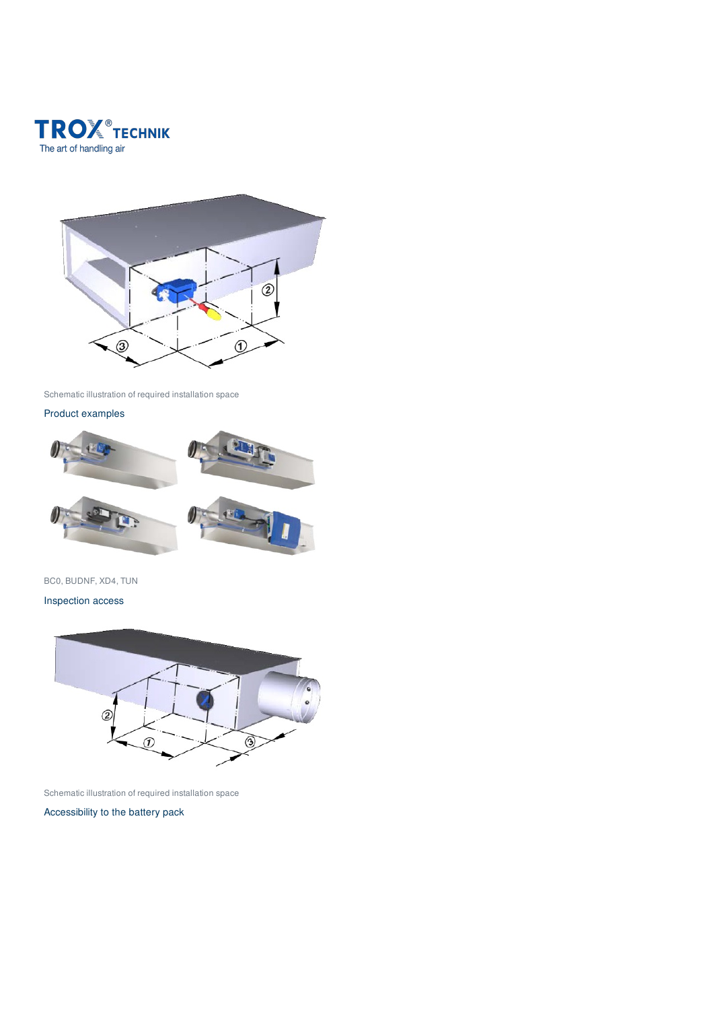



Schematic illustration of required installation space

## Product examples



## BC0, BUDNF, XD4, TUN

Inspection access



Schematic illustration of required installation space

Accessibility to the battery pack